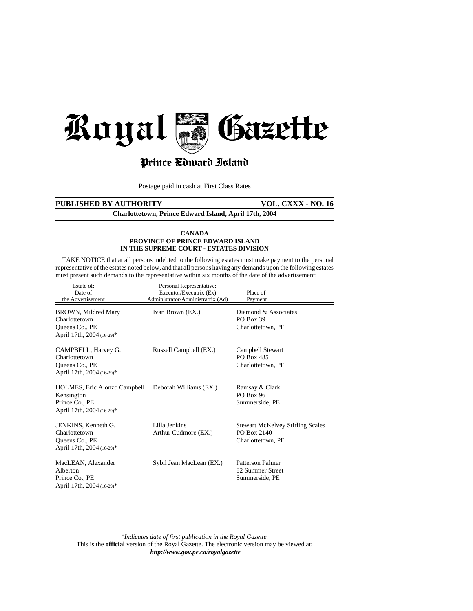

# Prince Cdward Island

Postage paid in cash at First Class Rates

# **PUBLISHED BY AUTHORITY VOL. CXXX - NO. 16**

**Charlottetown, Prince Edward Island, April 17th, 2004**

#### **CANADA PROVINCE OF PRINCE EDWARD ISLAND IN THE SUPREME COURT - ESTATES DIVISION**

 TAKE NOTICE that at all persons indebted to the following estates must make payment to the personal representative of the estates noted below, and that all persons having any demands upon the following estates must present such demands to the representative within six months of the date of the advertisement:

| Estate of:<br>Date of<br>the Advertisement                                                       | Personal Representative:<br>Executor/Executrix (Ex)<br>Administrator/Administratrix (Ad) | Place of<br>Payment                                                         |
|--------------------------------------------------------------------------------------------------|------------------------------------------------------------------------------------------|-----------------------------------------------------------------------------|
| BROWN, Mildred Mary<br>Charlottetown<br>Queens Co., PE<br>April 17th, 2004 (16-29)*              | Ivan Brown (EX.)                                                                         | Diamond & Associates<br><b>PO Box 39</b><br>Charlottetown, PE               |
| CAMPBELL, Harvey G.<br>Charlottetown<br>Queens Co., PE<br>April 17th, 2004 (16-29)*              | Russell Campbell (EX.)                                                                   | Campbell Stewart<br>PO Box 485<br>Charlottetown, PE                         |
| <b>HOLMES, Eric Alonzo Campbell</b><br>Kensington<br>Prince Co., PE<br>April 17th, 2004 (16-29)* | Deborah Williams (EX.)                                                                   | Ramsay & Clark<br><b>PO Box 96</b><br>Summerside, PE                        |
| JENKINS, Kenneth G.<br>Charlottetown<br>Queens Co., PE<br>April 17th, 2004 (16-29)*              | Lilla Jenkins<br>Arthur Cudmore (EX.)                                                    | <b>Stewart McKelvey Stirling Scales</b><br>PO Box 2140<br>Charlottetown, PE |
| MacLEAN, Alexander<br>Alberton<br>Prince Co., PE<br>April 17th, 2004 (16-29)*                    | Sybil Jean MacLean (EX.)                                                                 | Patterson Palmer<br>82 Summer Street<br>Summerside, PE                      |

*\*Indicates date of first publication in the Royal Gazette.* This is the **official** version of the Royal Gazette. The electronic version may be viewed at: *http://www.gov.pe.ca/royalgazette*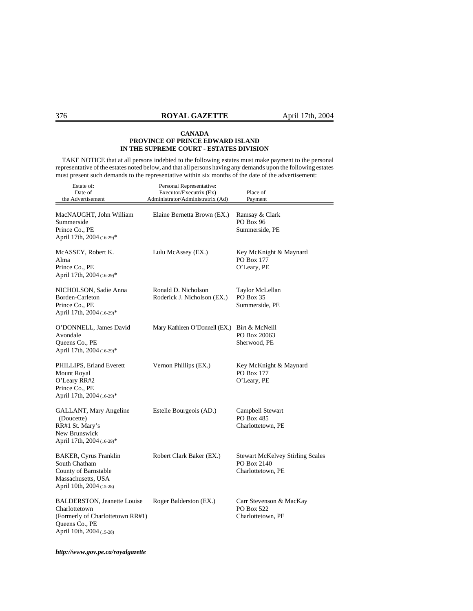TAKE NOTICE that at all persons indebted to the following estates must make payment to the personal representative of the estates noted below, and that all persons having any demands upon the following estates must present such demands to the representative within six months of the date of the advertisement:

| Estate of:<br>Date of<br>the Advertisement                                                                                             | Personal Representative:<br>Executor/Executrix (Ex)<br>Administrator/Administratrix (Ad) | Place of<br>Payment                                                         |
|----------------------------------------------------------------------------------------------------------------------------------------|------------------------------------------------------------------------------------------|-----------------------------------------------------------------------------|
| MacNAUGHT, John William<br>Summerside<br>Prince Co., PE<br>April 17th, 2004 (16-29)*                                                   | Elaine Bernetta Brown (EX.)                                                              | Ramsay & Clark<br>PO Box 96<br>Summerside, PE                               |
| McASSEY, Robert K.<br>Alma<br>Prince Co., PE<br>April 17th, 2004 (16-29)*                                                              | Lulu McAssey (EX.)                                                                       | Key McKnight & Maynard<br>PO Box 177<br>O'Leary, PE                         |
| NICHOLSON, Sadie Anna<br>Borden-Carleton<br>Prince Co., PE<br>April 17th, 2004 (16-29)*                                                | Ronald D. Nicholson<br>Roderick J. Nicholson (EX.)                                       | Taylor McLellan<br>PO Box 35<br>Summerside, PE                              |
| O'DONNELL, James David<br>Avondale<br>Queens Co., PE<br>April 17th, 2004 (16-29)*                                                      | Mary Kathleen O'Donnell (EX.)                                                            | Birt & McNeill<br>PO Box 20063<br>Sherwood, PE                              |
| PHILLIPS, Erland Everett<br><b>Mount Royal</b><br>O'Leary RR#2<br>Prince Co., PE<br>April 17th, 2004 (16-29)*                          | Vernon Phillips (EX.)                                                                    | Key McKnight & Maynard<br>PO Box 177<br>O'Leary, PE                         |
| GALLANT, Mary Angeline<br>(Doucette)<br>RR#1 St. Mary's<br>New Brunswick<br>April 17th, 2004 (16-29)*                                  | Estelle Bourgeois (AD.)                                                                  | Campbell Stewart<br>PO Box 485<br>Charlottetown, PE                         |
| <b>BAKER, Cyrus Franklin</b><br>South Chatham<br>County of Barnstable<br>Massachusetts, USA<br>April 10th, 2004 (15-28)                | Robert Clark Baker (EX.)                                                                 | <b>Stewart McKelvey Stirling Scales</b><br>PO Box 2140<br>Charlottetown, PE |
| <b>BALDERSTON</b> , Jeanette Louise<br>Charlottetown<br>(Formerly of Charlottetown RR#1)<br>Queens Co., PE<br>April 10th, 2004 (15-28) | Roger Balderston (EX.)                                                                   | Carr Stevenson & MacKay<br>PO Box 522<br>Charlottetown, PE                  |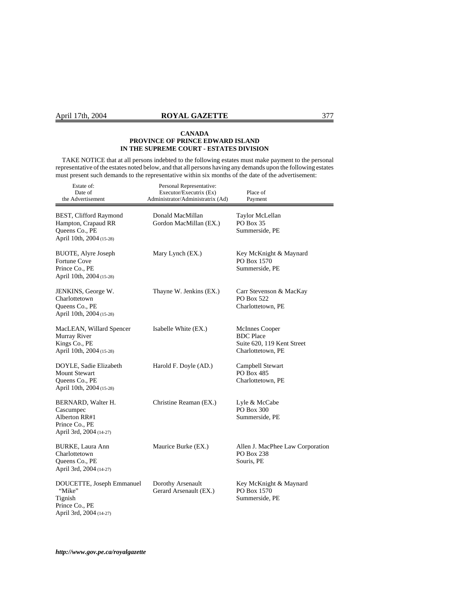TAKE NOTICE that at all persons indebted to the following estates must make payment to the personal representative of the estates noted below, and that all persons having any demands upon the following estates must present such demands to the representative within six months of the date of the advertisement:

| Estate of:<br>Date of<br>the Advertisement                                                    | Personal Representative:<br>Executor/Executrix (Ex)<br>Administrator/Administratrix (Ad) | Place of<br>Payment                                                                   |
|-----------------------------------------------------------------------------------------------|------------------------------------------------------------------------------------------|---------------------------------------------------------------------------------------|
| BEST, Clifford Raymond<br>Hampton, Crapaud RR<br>Queens Co., PE<br>April 10th, 2004 (15-28)   | Donald MacMillan<br>Gordon MacMillan (EX.)                                               | Taylor McLellan<br>PO Box 35<br>Summerside, PE                                        |
| BUOTE, Alyre Joseph<br>Fortune Cove<br>Prince Co., PE<br>April 10th, 2004 (15-28)             | Mary Lynch (EX.)                                                                         | Key McKnight & Maynard<br>PO Box 1570<br>Summerside, PE                               |
| JENKINS, George W.<br>Charlottetown<br>Queens Co., PE<br>April 10th, 2004 (15-28)             | Thayne W. Jenkins (EX.)                                                                  | Carr Stevenson & MacKay<br>PO Box 522<br>Charlottetown, PE                            |
| MacLEAN, Willard Spencer<br>Murray River<br>Kings Co., PE<br>April 10th, 2004 (15-28)         | Isabelle White (EX.)                                                                     | McInnes Cooper<br><b>BDC</b> Place<br>Suite 620, 119 Kent Street<br>Charlottetown, PE |
| DOYLE, Sadie Elizabeth<br><b>Mount Stewart</b><br>Queens Co., PE<br>April 10th, 2004 (15-28)  | Harold F. Doyle (AD.)                                                                    | Campbell Stewart<br>PO Box 485<br>Charlottetown, PE                                   |
| BERNARD, Walter H.<br>Cascumpec<br>Alberton RR#1<br>Prince Co., PE<br>April 3rd, 2004 (14-27) | Christine Reaman (EX.)                                                                   | Lyle & McCabe<br>PO Box 300<br>Summerside, PE                                         |
| <b>BURKE, Laura Ann</b><br>Charlottetown<br>Queens Co., PE<br>April 3rd, 2004 (14-27)         | Maurice Burke (EX.)                                                                      | Allen J. MacPhee Law Corporation<br>PO Box 238<br>Souris, PE                          |
| DOUCETTE, Joseph Emmanuel<br>"Mike"<br>Tignish<br>Prince Co., PE<br>April 3rd, 2004 (14-27)   | Dorothy Arsenault<br>Gerard Arsenault (EX.)                                              | Key McKnight & Maynard<br>PO Box 1570<br>Summerside, PE                               |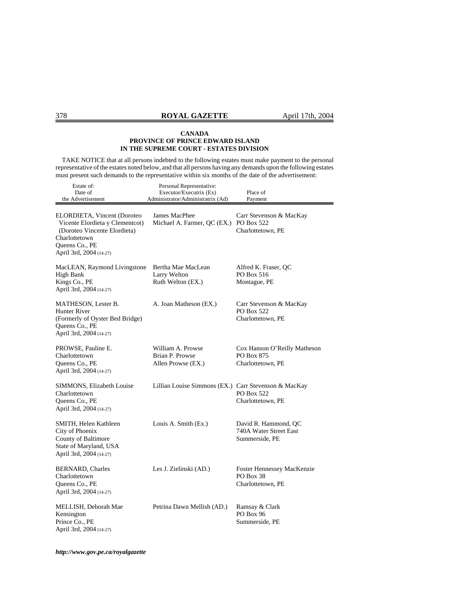TAKE NOTICE that at all persons indebted to the following estates must make payment to the personal representative of the estates noted below, and that all persons having any demands upon the following estates must present such demands to the representative within six months of the date of the advertisement:

| Estate of:<br>Date of<br>the Advertisement                                                                                                                   | Personal Representative:<br>Executor/Executrix (Ex)<br>Administrator/Administratrix (Ad) | Place of<br>Payment                                                 |
|--------------------------------------------------------------------------------------------------------------------------------------------------------------|------------------------------------------------------------------------------------------|---------------------------------------------------------------------|
| ELORDIETA, Vincent (Doroteo<br>Vicente Elordieta y Clementcot)<br>(Doroteo Vincente Elordieta)<br>Charlottetown<br>Queens Co., PE<br>April 3rd, 2004 (14-27) | James MacPhee<br>Michael A. Farmer, QC (EX.)                                             | Carr Stevenson & MacKay<br>PO Box 522<br>Charlottetown, PE          |
| MacLEAN, Raymond Livingstone<br><b>High Bank</b><br>Kings Co., PE<br>April 3rd, 2004 (14-27)                                                                 | Bertha Mae MacLean<br>Larry Welton<br>Ruth Welton (EX.)                                  | Alfred K. Fraser, QC<br>PO Box 516<br>Montague, PE                  |
| <b>MATHESON, Lester B.</b><br>Hunter River<br>(Formerly of Oyster Bed Bridge)<br>Queens Co., PE<br>April 3rd, 2004 (14-27)                                   | A. Joan Matheson (EX.)                                                                   | Carr Stevenson & MacKay<br><b>PO Box 522</b><br>Charlottetown, PE   |
| PROWSE, Pauline E.<br>Charlottetown<br>Queens Co., PE<br>April 3rd, 2004 (14-27)                                                                             | William A. Prowse<br>Brian P. Prowse<br>Allen Prowse (EX.)                               | Cox Hanson O'Reilly Matheson<br>PO Box 875<br>Charlottetown, PE     |
| SIMMONS, Elizabeth Louise<br>Charlottetown<br>Queens Co., PE<br>April 3rd, 2004 (14-27)                                                                      | Lillian Louise Simmons (EX.) Carr Stevenson & MacKay                                     | <b>PO Box 522</b><br>Charlottetown, PE                              |
| SMITH, Helen Kathleen<br>City of Phoenix<br>County of Baltimore<br>State of Maryland, USA<br>April 3rd, 2004 (14-27)                                         | Louis A. Smith (Ex.)                                                                     | David R. Hammond, QC<br>740A Water Street East<br>Summerside, PE    |
| <b>BERNARD, Charles</b><br>Charlottetown<br>Queens Co., PE<br>April 3rd, 2004 (14-27)                                                                        | Les J. Zielinski (AD.)                                                                   | <b>Foster Hennessey MacKenzie</b><br>PO Box 38<br>Charlottetown, PE |
| MELLISH, Deborah Mae<br>Kensington<br>Prince Co., PE<br>April 3rd, 2004 (14-27)                                                                              | Petrina Dawn Mellish (AD.)                                                               | Ramsay & Clark<br>PO Box 96<br>Summerside, PE                       |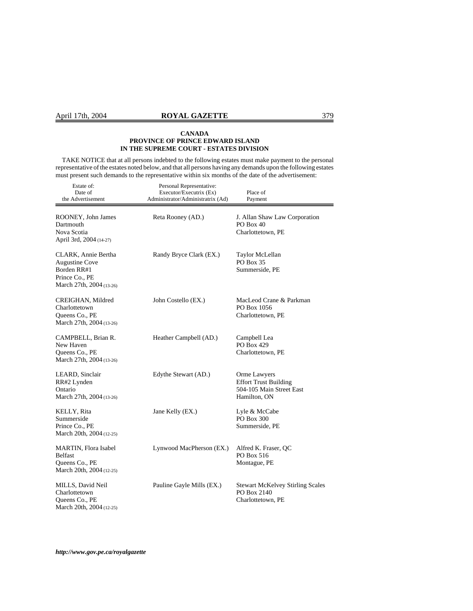TAKE NOTICE that at all persons indebted to the following estates must make payment to the personal representative of the estates noted below, and that all persons having any demands upon the following estates must present such demands to the representative within six months of the date of the advertisement:

| Estate of:<br>Date of<br>the Advertisement                                                                | Personal Representative:<br>Executor/Executrix (Ex)<br>Administrator/Administratrix (Ad) | Place of<br>Payment                                                                      |
|-----------------------------------------------------------------------------------------------------------|------------------------------------------------------------------------------------------|------------------------------------------------------------------------------------------|
| ROONEY, John James<br>Dartmouth<br>Nova Scotia<br>April 3rd, 2004 (14-27)                                 | Reta Rooney (AD.)                                                                        | J. Allan Shaw Law Corporation<br>PO Box 40<br>Charlottetown, PE                          |
| CLARK, Annie Bertha<br><b>Augustine Cove</b><br>Borden RR#1<br>Prince Co., PE<br>March 27th, 2004 (13-26) | Randy Bryce Clark (EX.)                                                                  | Taylor McLellan<br><b>PO Box 35</b><br>Summerside, PE                                    |
| CREIGHAN, Mildred<br>Charlottetown<br>Queens Co., PE<br>March 27th, 2004 (13-26)                          | John Costello (EX.)                                                                      | MacLeod Crane & Parkman<br>PO Box 1056<br>Charlottetown, PE                              |
| CAMPBELL, Brian R.<br>New Haven<br>Queens Co., PE<br>March 27th, 2004 (13-26)                             | Heather Campbell (AD.)                                                                   | Campbell Lea<br>PO Box 429<br>Charlottetown, PE                                          |
| LEARD, Sinclair<br>RR#2 Lynden<br>Ontario<br>March 27th, 2004 (13-26)                                     | Edythe Stewart (AD.)                                                                     | Orme Lawyers<br><b>Effort Trust Building</b><br>504-105 Main Street East<br>Hamilton, ON |
| KELLY, Rita<br>Summerside<br>Prince Co., PE<br>March 20th, 2004 (12-25)                                   | Jane Kelly (EX.)                                                                         | Lyle & McCabe<br>PO Box 300<br>Summerside, PE                                            |
| <b>MARTIN, Flora Isabel</b><br><b>Belfast</b><br>Queens Co., PE<br>March 20th, 2004 (12-25)               | Lynwood MacPherson (EX.)                                                                 | Alfred K. Fraser, QC<br>PO Box 516<br>Montague, PE                                       |
| MILLS, David Neil<br>Charlottetown<br>Queens Co., PE<br>March 20th, 2004 (12-25)                          | Pauline Gayle Mills (EX.)                                                                | <b>Stewart McKelvey Stirling Scales</b><br>PO Box 2140<br>Charlottetown, PE              |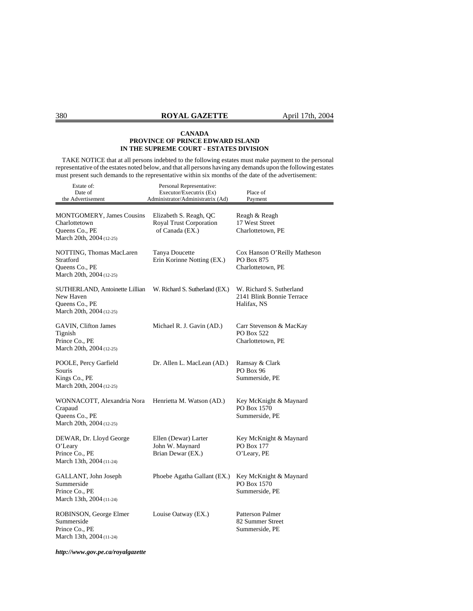TAKE NOTICE that at all persons indebted to the following estates must make payment to the personal representative of the estates noted below, and that all persons having any demands upon the following estates must present such demands to the representative within six months of the date of the advertisement:

| Estate of:<br>Date of<br>the Advertisement                                                      | Personal Representative:<br>Executor/Executrix (Ex)<br>Administrator/Administratrix (Ad) | Place of<br>Payment                                                  |
|-------------------------------------------------------------------------------------------------|------------------------------------------------------------------------------------------|----------------------------------------------------------------------|
| <b>MONTGOMERY, James Cousins</b><br>Charlottetown<br>Queens Co., PE<br>March 20th, 2004 (12-25) | Elizabeth S. Reagh, QC<br>Royal Trust Corporation<br>of Canada (EX.)                     | Reagh & Reagh<br>17 West Street<br>Charlottetown, PE                 |
| NOTTING, Thomas MacLaren<br>Stratford<br>Queens Co., PE<br>March 20th, 2004 (12-25)             | <b>Tanya Doucette</b><br>Erin Korinne Notting (EX.)                                      | Cox Hanson O'Reilly Matheson<br>PO Box 875<br>Charlottetown, PE      |
| SUTHERLAND, Antoinette Lillian<br>New Haven<br>Queens Co., PE<br>March 20th, 2004 (12-25)       | W. Richard S. Sutherland (EX.)                                                           | W. Richard S. Sutherland<br>2141 Blink Bonnie Terrace<br>Halifax, NS |
| GAVIN, Clifton James<br>Tignish<br>Prince Co., PE<br>March 20th, 2004 (12-25)                   | Michael R. J. Gavin (AD.)                                                                | Carr Stevenson & MacKay<br>PO Box 522<br>Charlottetown, PE           |
| POOLE, Percy Garfield<br>Souris<br>Kings Co., PE<br>March 20th, 2004 (12-25)                    | Dr. Allen L. MacLean (AD.)                                                               | Ramsay & Clark<br>PO Box 96<br>Summerside, PE                        |
| WONNACOTT, Alexandria Nora<br>Crapaud<br>Queens Co., PE<br>March 20th, 2004 (12-25)             | Henrietta M. Watson (AD.)                                                                | Key McKnight & Maynard<br>PO Box 1570<br>Summerside, PE              |
| DEWAR, Dr. Lloyd George<br>O'Leary<br>Prince Co., PE<br>March 13th, 2004 (11-24)                | Ellen (Dewar) Larter<br>John W. Maynard<br>Brian Dewar (EX.)                             | Key McKnight & Maynard<br>PO Box 177<br>O'Leary, PE                  |
| GALLANT, John Joseph<br>Summerside<br>Prince Co., PE<br>March 13th, 2004 (11-24)                | Phoebe Agatha Gallant (EX.)                                                              | Key McKnight & Maynard<br>PO Box 1570<br>Summerside, PE              |
| ROBINSON, George Elmer<br>Summerside<br>Prince Co., PE<br>March 13th, 2004 (11-24)              | Louise Oatway (EX.)                                                                      | <b>Patterson Palmer</b><br>82 Summer Street<br>Summerside, PE        |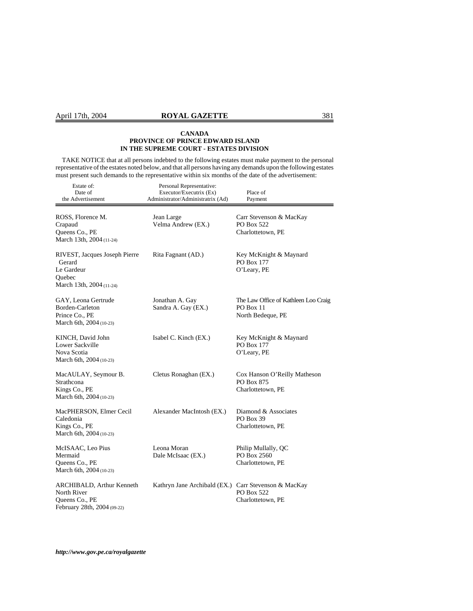# April 17th, 2004 **ROYAL GAZETTE** 381

#### **CANADA PROVINCE OF PRINCE EDWARD ISLAND IN THE SUPREME COURT - ESTATES DIVISION**

 TAKE NOTICE that at all persons indebted to the following estates must make payment to the personal representative of the estates noted below, and that all persons having any demands upon the following estates must present such demands to the representative within six months of the date of the advertisement:

| Estate of:<br>Date of<br>the Advertisement                                                  | Personal Representative:<br>Executor/Executrix (Ex)<br>Administrator/Administratrix (Ad) | Place of<br>Payment                                                    |
|---------------------------------------------------------------------------------------------|------------------------------------------------------------------------------------------|------------------------------------------------------------------------|
| ROSS, Florence M.<br>Crapaud<br>Queens Co., PE<br>March 13th, 2004 (11-24)                  | Jean Large<br>Velma Andrew (EX.)                                                         | Carr Stevenson & MacKay<br>PO Box 522<br>Charlottetown, PE             |
| RIVEST, Jacques Joseph Pierre<br>Gerard<br>Le Gardeur<br>Quebec<br>March 13th, 2004 (11-24) | Rita Fagnant (AD.)                                                                       | Key McKnight & Maynard<br>PO Box 177<br>O'Leary, PE                    |
| GAY, Leona Gertrude<br>Borden-Carleton<br>Prince Co., PE<br>March 6th, 2004 (10-23)         | Jonathan A. Gay<br>Sandra A. Gay (EX.)                                                   | The Law Office of Kathleen Loo Craig<br>PO Box 11<br>North Bedeque, PE |
| KINCH, David John<br><b>Lower Sackville</b><br>Nova Scotia<br>March 6th, 2004 (10-23)       | Isabel C. Kinch (EX.)                                                                    | Key McKnight & Maynard<br>PO Box 177<br>O'Leary, PE                    |
| MacAULAY, Seymour B.<br>Strathcona<br>Kings Co., PE<br>March 6th, 2004 (10-23)              | Cletus Ronaghan (EX.)                                                                    | Cox Hanson O'Reilly Matheson<br>PO Box 875<br>Charlottetown, PE        |
| MacPHERSON, Elmer Cecil<br>Caledonia<br>Kings Co., PE<br>March 6th, 2004 (10-23)            | Alexander MacIntosh (EX.)                                                                | Diamond & Associates<br>PO Box 39<br>Charlottetown, PE                 |
| McISAAC, Leo Pius<br>Mermaid<br>Queens Co., PE<br>March 6th, 2004 (10-23)                   | Leona Moran<br>Dale McIsaac (EX.)                                                        | Philip Mullally, QC<br>PO Box 2560<br>Charlottetown, PE                |
| ARCHIBALD, Arthur Kenneth<br>North River<br>Queens Co., PE<br>February 28th, 2004 (09-22)   | Kathryn Jane Archibald (EX.) Carr Stevenson & MacKay                                     | PO Box 522<br>Charlottetown, PE                                        |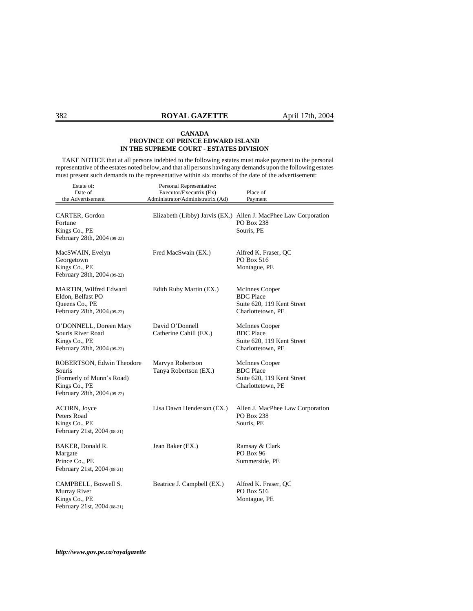TAKE NOTICE that at all persons indebted to the following estates must make payment to the personal representative of the estates noted below, and that all persons having any demands upon the following estates must present such demands to the representative within six months of the date of the advertisement:

| Estate of:<br>Date of<br>the Advertisement                                                                       | Personal Representative:<br>Executor/Executrix (Ex)<br>Administrator/Administratrix (Ad) | Place of<br>Payment                                                                         |
|------------------------------------------------------------------------------------------------------------------|------------------------------------------------------------------------------------------|---------------------------------------------------------------------------------------------|
| CARTER, Gordon<br>Fortune<br>Kings Co., PE<br>February 28th, 2004 (09-22)                                        |                                                                                          | Elizabeth (Libby) Jarvis (EX.) Allen J. MacPhee Law Corporation<br>PO Box 238<br>Souris, PE |
| MacSWAIN, Evelyn<br>Georgetown<br>Kings Co., PE<br>February 28th, 2004 (09-22)                                   | Fred MacSwain (EX.)                                                                      | Alfred K. Fraser, QC<br>PO Box 516<br>Montague, PE                                          |
| MARTIN, Wilfred Edward<br>Eldon, Belfast PO<br>Queens Co., PE<br>February 28th, 2004 (09-22)                     | Edith Ruby Martin (EX.)                                                                  | McInnes Cooper<br><b>BDC</b> Place<br>Suite 620, 119 Kent Street<br>Charlottetown, PE       |
| O'DONNELL, Doreen Mary<br>Souris River Road<br>Kings Co., PE<br>February 28th, 2004 (09-22)                      | David O'Donnell<br>Catherine Cahill (EX.)                                                | McInnes Cooper<br><b>BDC</b> Place<br>Suite 620, 119 Kent Street<br>Charlottetown, PE       |
| ROBERTSON, Edwin Theodore<br>Souris<br>(Formerly of Munn's Road)<br>Kings Co., PE<br>February 28th, 2004 (09-22) | Marvyn Robertson<br>Tanya Robertson (EX.)                                                | McInnes Cooper<br><b>BDC</b> Place<br>Suite 620, 119 Kent Street<br>Charlottetown, PE       |
| ACORN, Joyce<br>Peters Road<br>Kings Co., PE<br>February 21st, 2004 (08-21)                                      | Lisa Dawn Henderson (EX.)                                                                | Allen J. MacPhee Law Corporation<br>PO Box 238<br>Souris, PE                                |
| BAKER, Donald R.<br>Margate<br>Prince Co., PE<br>February 21st, 2004 (08-21)                                     | Jean Baker (EX.)                                                                         | Ramsay & Clark<br><b>PO Box 96</b><br>Summerside, PE                                        |
| CAMPBELL, Boswell S.<br>Murray River<br>Kings Co., PE<br>February 21st, 2004 (08-21)                             | Beatrice J. Campbell (EX.)                                                               | Alfred K. Fraser, QC<br>PO Box 516<br>Montague, PE                                          |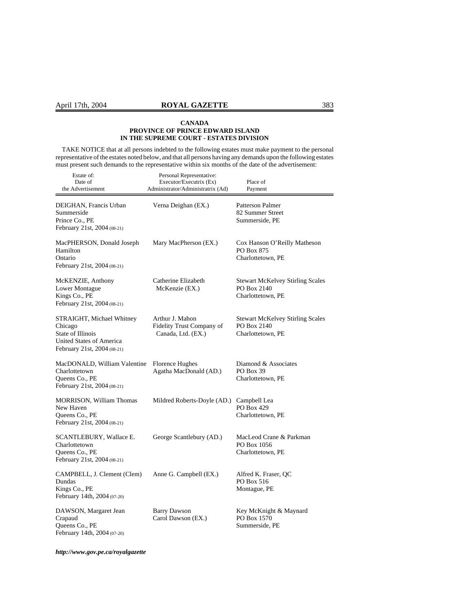TAKE NOTICE that at all persons indebted to the following estates must make payment to the personal representative of the estates noted below, and that all persons having any demands upon the following estates must present such demands to the representative within six months of the date of the advertisement:

| Estate of:<br>Date of<br>the Advertisement                                                                           | Personal Representative:<br>Executor/Executrix (Ex)<br>Administrator/Administratrix (Ad) | Place of<br>Payment                                                         |
|----------------------------------------------------------------------------------------------------------------------|------------------------------------------------------------------------------------------|-----------------------------------------------------------------------------|
| DEIGHAN, Francis Urban<br>Summerside<br>Prince Co., PE<br>February 21st, 2004 (08-21)                                | Verna Deighan (EX.)                                                                      | <b>Patterson Palmer</b><br>82 Summer Street<br>Summerside, PE               |
| MacPHERSON, Donald Joseph<br>Hamilton<br>Ontario<br>February 21st, 2004 (08-21)                                      | Mary MacPherson (EX.)                                                                    | Cox Hanson O'Reilly Matheson<br>PO Box 875<br>Charlottetown, PE             |
| McKENZIE, Anthony<br>Lower Montague<br>Kings Co., PE<br>February 21st, 2004 (08-21)                                  | Catherine Elizabeth<br>McKenzie (EX.)                                                    | <b>Stewart McKelvey Stirling Scales</b><br>PO Box 2140<br>Charlottetown, PE |
| STRAIGHT, Michael Whitney<br>Chicago<br>State of Illinois<br>United States of America<br>February 21st, 2004 (08-21) | Arthur J. Mahon<br>Fidelity Trust Company of<br>Canada, Ltd. (EX.)                       | <b>Stewart McKelvey Stirling Scales</b><br>PO Box 2140<br>Charlottetown, PE |
| MacDONALD, William Valentine<br>Charlottetown<br>Queens Co., PE<br>February 21st, 2004 (08-21)                       | Florence Hughes<br>Agatha MacDonald (AD.)                                                | Diamond & Associates<br><b>PO Box 39</b><br>Charlottetown, PE               |
| <b>MORRISON, William Thomas</b><br>New Haven<br>Queens Co., PE<br>February 21st, 2004 (08-21)                        | Mildred Roberts-Doyle (AD.)                                                              | Campbell Lea<br><b>PO Box 429</b><br>Charlottetown, PE                      |
| SCANTLEBURY, Wallace E.<br>Charlottetown<br>Queens Co., PE<br>February 21st, 2004 (08-21)                            | George Scantlebury (AD.)                                                                 | MacLeod Crane & Parkman<br>PO Box 1056<br>Charlottetown, PE                 |
| CAMPBELL, J. Clement (Clem)<br>Dundas<br>Kings Co., PE<br>February 14th, 2004 (07-20)                                | Anne G. Campbell (EX.)                                                                   | Alfred K. Fraser, QC<br>PO Box 516<br>Montague, PE                          |
| DAWSON, Margaret Jean<br>Crapaud<br>Queens Co., PE<br>February 14th, 2004 (07-20)                                    | <b>Barry Dawson</b><br>Carol Dawson (EX.)                                                | Key McKnight & Maynard<br>PO Box 1570<br>Summerside, PE                     |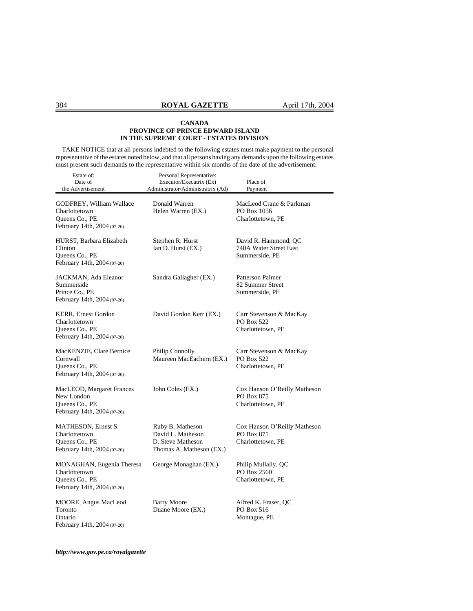TAKE NOTICE that at all persons indebted to the following estates must make payment to the personal representative of the estates noted below, and that all persons having any demands upon the following estates must present such demands to the representative within six months of the date of the advertisement:

| Estate of:<br>Date of<br>the Advertisement                                                  | Personal Representative:<br>Executor/Executrix (Ex)<br>Administrator/Administratrix (Ad) | Place of<br>Payment                                              |
|---------------------------------------------------------------------------------------------|------------------------------------------------------------------------------------------|------------------------------------------------------------------|
| GODFREY, William Wallace<br>Charlottetown<br>Queens Co., PE<br>February 14th, 2004 (07-20)  | Donald Warren<br>Helen Warren (EX.)                                                      | MacLeod Crane & Parkman<br>PO Box 1056<br>Charlottetown, PE      |
| HURST, Barbara Elizabeth<br>Clinton<br>Queens Co., PE<br>February 14th, 2004 (07-20)        | Stephen R. Hurst<br>Ian D. Hurst (EX.)                                                   | David R. Hammond, QC<br>740A Water Street East<br>Summerside, PE |
| JACKMAN, Ada Eleanor<br>Summerside<br>Prince Co., PE<br>February 14th, 2004 (07-20)         | Sandra Gallagher (EX.)                                                                   | Patterson Palmer<br>82 Summer Street<br>Summerside, PE           |
| KERR, Ernest Gordon<br>Charlottetown<br>Queens Co., PE<br>February 14th, 2004 (07-20)       | David Gordon Kerr (EX.)                                                                  | Carr Stevenson & MacKay<br>PO Box 522<br>Charlottetown, PE       |
| MacKENZIE, Clare Bernice<br>Cornwall<br>Queens Co., PE<br>February 14th, 2004 (07-20)       | <b>Philip Connolly</b><br>Maureen MacEachern (EX.)                                       | Carr Stevenson & MacKay<br>PO Box 522<br>Charlottetown, PE       |
| MacLEOD, Margaret Frances<br>New London<br>Queens Co., PE<br>February 14th, 2004 (07-20)    | John Coles (EX.)                                                                         | Cox Hanson O'Reilly Matheson<br>PO Box 875<br>Charlottetown, PE  |
| MATHESON, Ernest S.<br>Charlottetown<br>Queens Co., PE<br>February 14th, 2004 (07-20)       | Ruby B. Matheson<br>David L. Matheson<br>D. Steve Matheson<br>Thomas A. Matheson (EX.)   | Cox Hanson O'Reilly Matheson<br>PO Box 875<br>Charlottetown, PE  |
| MONAGHAN, Eugenia Theresa<br>Charlottetown<br>Queens Co., PE<br>February 14th, 2004 (07-20) | George Monaghan (EX.)                                                                    | Philip Mullally, QC<br>PO Box 2560<br>Charlottetown, PE          |
| MOORE, Angus MacLeod<br>Toronto<br>Ontario<br>February 14th, 2004 (07-20)                   | <b>Barry Moore</b><br>Duane Moore (EX.)                                                  | Alfred K. Fraser, QC<br>PO Box 516<br>Montague, PE               |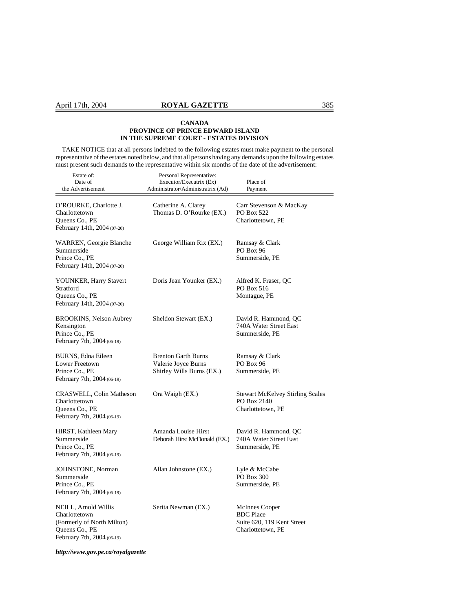TAKE NOTICE that at all persons indebted to the following estates must make payment to the personal representative of the estates noted below, and that all persons having any demands upon the following estates must present such demands to the representative within six months of the date of the advertisement:

| Estate of:<br>Date of<br>the Advertisement                                                                          | Personal Representative:<br>Executor/Executrix (Ex)<br>Administrator/Administratrix (Ad) | Place of<br>Payment                                                                   |
|---------------------------------------------------------------------------------------------------------------------|------------------------------------------------------------------------------------------|---------------------------------------------------------------------------------------|
| O'ROURKE, Charlotte J.<br>Charlottetown<br>Queens Co., PE<br>February 14th, 2004 (07-20)                            | Catherine A. Clarey<br>Thomas D. O'Rourke (EX.)                                          | Carr Stevenson & MacKay<br>PO Box 522<br>Charlottetown, PE                            |
| WARREN, Georgie Blanche<br>Summerside<br>Prince Co., PE<br>February 14th, 2004 (07-20)                              | George William Rix (EX.)                                                                 | Ramsay & Clark<br>PO Box 96<br>Summerside, PE                                         |
| YOUNKER, Harry Stavert<br>Stratford<br>Queens Co., PE<br>February 14th, 2004 (07-20)                                | Doris Jean Younker (EX.)                                                                 | Alfred K. Fraser, QC<br>PO Box 516<br>Montague, PE                                    |
| <b>BROOKINS, Nelson Aubrey</b><br>Kensington<br>Prince Co., PE<br>February 7th, 2004 (06-19)                        | Sheldon Stewart (EX.)                                                                    | David R. Hammond, QC<br>740A Water Street East<br>Summerside, PE                      |
| BURNS, Edna Eileen<br>Lower Freetown<br>Prince Co., PE<br>February 7th, 2004 (06-19)                                | <b>Brenton Garth Burns</b><br>Valerie Joyce Burns<br>Shirley Wills Burns (EX.)           | Ramsay & Clark<br>PO Box 96<br>Summerside, PE                                         |
| CRASWELL, Colin Matheson<br>Charlottetown<br>Queens Co., PE<br>February 7th, 2004 (06-19)                           | Ora Waigh (EX.)                                                                          | <b>Stewart McKelvey Stirling Scales</b><br>PO Box 2140<br>Charlottetown, PE           |
| HIRST, Kathleen Mary<br>Summerside<br>Prince Co., PE<br>February 7th, 2004 (06-19)                                  | Amanda Louise Hirst<br>Deborah Hirst McDonald (EX.)                                      | David R. Hammond, QC<br>740A Water Street East<br>Summerside, PE                      |
| JOHNSTONE, Norman<br>Summerside<br>Prince Co., PE<br>February 7th, 2004 (06-19)                                     | Allan Johnstone (EX.)                                                                    | Lyle & McCabe<br>PO Box 300<br>Summerside, PE                                         |
| NEILL, Arnold Willis<br>Charlottetown<br>(Formerly of North Milton)<br>Queens Co., PE<br>February 7th, 2004 (06-19) | Serita Newman (EX.)                                                                      | McInnes Cooper<br><b>BDC</b> Place<br>Suite 620, 119 Kent Street<br>Charlottetown, PE |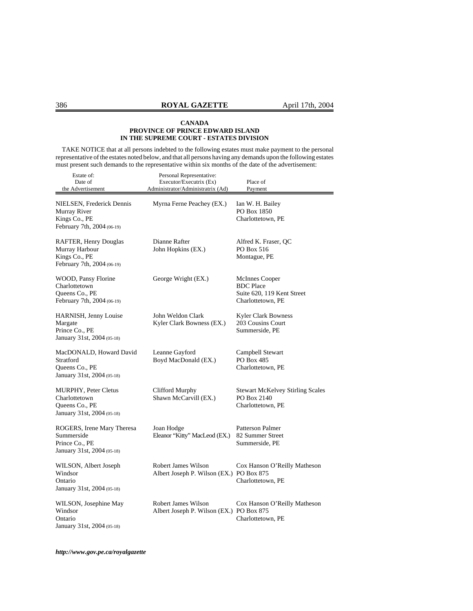TAKE NOTICE that at all persons indebted to the following estates must make payment to the personal representative of the estates noted below, and that all persons having any demands upon the following estates must present such demands to the representative within six months of the date of the advertisement:

| Estate of:<br>Date of<br>the Advertisement                                                   | Personal Representative:<br>Executor/Executrix (Ex)<br>Administrator/Administratrix (Ad) | Place of<br>Payment                                                                   |
|----------------------------------------------------------------------------------------------|------------------------------------------------------------------------------------------|---------------------------------------------------------------------------------------|
| NIELSEN, Frederick Dennis<br>Murray River<br>Kings Co., PE<br>February 7th, 2004 (06-19)     | Myrna Ferne Peachey (EX.)                                                                | Ian W. H. Bailey<br>PO Box 1850<br>Charlottetown, PE                                  |
| RAFTER, Henry Douglas<br>Murray Harbour<br>Kings Co., PE<br>February 7th, 2004 (06-19)       | Dianne Rafter<br>John Hopkins (EX.)                                                      | Alfred K. Fraser, QC<br>PO Box 516<br>Montague, PE                                    |
| WOOD, Pansy Florine<br>Charlottetown<br>Queens Co., PE<br>February 7th, 2004 (06-19)         | George Wright (EX.)                                                                      | McInnes Cooper<br><b>BDC</b> Place<br>Suite 620, 119 Kent Street<br>Charlottetown, PE |
| <b>HARNISH, Jenny Louise</b><br>Margate<br>Prince Co., PE<br>January 31st, 2004 (05-18)      | John Weldon Clark<br>Kyler Clark Bowness (EX.)                                           | <b>Kyler Clark Bowness</b><br>203 Cousins Court<br>Summerside, PE                     |
| MacDONALD, Howard David<br>Stratford<br>Queens Co., PE<br>January 31st, 2004 (05-18)         | Leanne Gayford<br>Boyd MacDonald (EX.)                                                   | Campbell Stewart<br>PO Box 485<br>Charlottetown, PE                                   |
| <b>MURPHY, Peter Cletus</b><br>Charlottetown<br>Queens Co., PE<br>January 31st, 2004 (05-18) | Clifford Murphy<br>Shawn McCarvill (EX.)                                                 | <b>Stewart McKelvey Stirling Scales</b><br>PO Box 2140<br>Charlottetown, PE           |
| ROGERS, Irene Mary Theresa<br>Summerside<br>Prince Co., PE<br>January 31st, 2004 (05-18)     | Joan Hodge<br>Eleanor "Kitty" MacLeod (EX.)                                              | Patterson Palmer<br>82 Summer Street<br>Summerside, PE                                |
| WILSON, Albert Joseph<br>Windsor<br>Ontario<br>January 31st, 2004 (05-18)                    | <b>Robert James Wilson</b><br>Albert Joseph P. Wilson (EX.) PO Box 875                   | Cox Hanson O'Reilly Matheson<br>Charlottetown, PE                                     |
| WILSON, Josephine May<br>Windsor<br>Ontario<br>January 31st, 2004 (05-18)                    | <b>Robert James Wilson</b><br>Albert Joseph P. Wilson (EX.) PO Box 875                   | Cox Hanson O'Reilly Matheson<br>Charlottetown, PE                                     |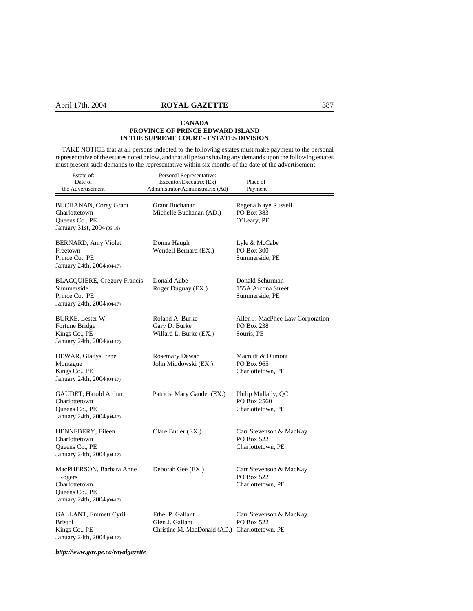TAKE NOTICE that at all persons indebted to the following estates must make payment to the personal representative of the estates noted below, and that all persons having any demands upon the following estates must present such demands to the representative within six months of the date of the advertisement:

| Estate of:<br>Date of<br>the Advertisement                                                          | Personal Representative:<br>Executor/Executrix (Ex)<br>Administrator/Administratrix (Ad) | Place of<br>Payment                                               |
|-----------------------------------------------------------------------------------------------------|------------------------------------------------------------------------------------------|-------------------------------------------------------------------|
| <b>BUCHANAN, Corey Grant</b><br>Charlottetown<br>Queens Co., PE<br>January 31st, 2004 (05-18)       | Grant Buchanan<br>Michelle Buchanan (AD.)                                                | Regena Kaye Russell<br>PO Box 383<br>O'Leary, PE                  |
| BERNARD, Amy Violet<br>Freetown<br>Prince Co., PE<br>January 24th, 2004 (04-17)                     | Donna Haugh<br>Wendell Bernard (EX.)                                                     | Lyle & McCabe<br>PO Box 300<br>Summerside, PE                     |
| <b>BLACQUIERE, Gregory Francis</b><br>Summerside<br>Prince Co., PE<br>January 24th, 2004 (04-17)    | Donald Aube<br>Roger Duguay (EX.)                                                        | Donald Schurman<br>155A Arcona Street<br>Summerside, PE           |
| BURKE, Lester W.<br>Fortune Bridge<br>Kings Co., PE<br>January 24th, 2004 (04-17)                   | Roland A. Burke<br>Gary D. Burke<br>Willard L. Burke (EX.)                               | Allen J. MacPhee Law Corporation<br>PO Box 238<br>Souris, PE      |
| DEWAR, Gladys Irene<br>Montague<br>Kings Co., PE<br>January 24th, 2004 (04-17)                      | <b>Rosemary Dewar</b><br>John Miodowski (EX.)                                            | Macnutt & Dumont<br>PO Box 965<br>Charlottetown, PE               |
| GAUDET, Harold Arthur<br>Charlottetown<br>Queens Co., PE<br>January 24th, 2004 (04-17)              | Patricia Mary Gaudet (EX.)                                                               | Philip Mullally, QC<br>PO Box 2560<br>Charlottetown, PE           |
| <b>HENNEBERY, Eileen</b><br>Charlottetown<br>Queens Co., PE<br>January 24th, 2004 (04-17)           | Clare Butler (EX.)                                                                       | Carr Stevenson & MacKay<br>PO Box 522<br>Charlottetown, PE        |
| MacPHERSON, Barbara Anne<br>Rogers<br>Charlottetown<br>Queens Co., PE<br>January 24th, 2004 (04-17) | Deborah Gee (EX.)                                                                        | Carr Stevenson & MacKay<br><b>PO Box 522</b><br>Charlottetown, PE |
| GALLANT, Emmett Cyril<br><b>Bristol</b><br>Kings Co., PE<br>January 24th, 2004 (04-17)              | Ethel P. Gallant<br>Glen J. Gallant<br>Christine M. MacDonald (AD.) Charlottetown, PE    | Carr Stevenson & MacKay<br><b>PO Box 522</b>                      |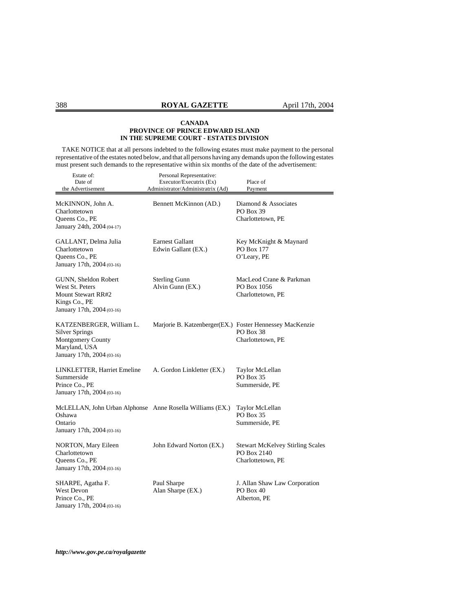TAKE NOTICE that at all persons indebted to the following estates must make payment to the personal representative of the estates noted below, and that all persons having any demands upon the following estates must present such demands to the representative within six months of the date of the advertisement:

| Estate of:<br>Date of<br>the Advertisement                                                                            | Personal Representative:<br>Executor/Executrix (Ex)<br>Administrator/Administratrix (Ad) | Place of<br>Payment                                                         |
|-----------------------------------------------------------------------------------------------------------------------|------------------------------------------------------------------------------------------|-----------------------------------------------------------------------------|
| McKINNON, John A.<br>Charlottetown<br>Queens Co., PE<br>January 24th, 2004 (04-17)                                    | Bennett McKinnon (AD.)                                                                   | Diamond & Associates<br>PO Box 39<br>Charlottetown, PE                      |
| GALLANT, Delma Julia<br>Charlottetown<br>Queens Co., PE<br>January 17th, 2004 (03-16)                                 | <b>Earnest Gallant</b><br>Edwin Gallant (EX.)                                            | Key McKnight & Maynard<br>PO Box 177<br>O'Leary, PE                         |
| GUNN, Sheldon Robert<br>West St. Peters<br><b>Mount Stewart RR#2</b><br>Kings Co., PE<br>January 17th, 2004 (03-16)   | <b>Sterling Gunn</b><br>Alvin Gunn (EX.)                                                 | MacLeod Crane & Parkman<br>PO Box 1056<br>Charlottetown, PE                 |
| KATZENBERGER, William L.<br><b>Silver Springs</b><br>Montgomery County<br>Maryland, USA<br>January 17th, 2004 (03-16) | Marjorie B. Katzenberger(EX.) Foster Hennessey MacKenzie                                 | PO Box 38<br>Charlottetown, PE                                              |
| LINKLETTER, Harriet Emeline<br>Summerside<br>Prince Co., PE<br>January 17th, 2004 (03-16)                             | A. Gordon Linkletter (EX.)                                                               | Taylor McLellan<br>PO Box 35<br>Summerside, PE                              |
| McLELLAN, John Urban Alphonse Anne Rosella Williams (EX.)<br>Oshawa<br>Ontario<br>January 17th, 2004 (03-16)          |                                                                                          | Taylor McLellan<br><b>PO Box 35</b><br>Summerside, PE                       |
| NORTON, Mary Eileen<br>Charlottetown<br>Queens Co., PE<br>January 17th, 2004 (03-16)                                  | John Edward Norton (EX.)                                                                 | <b>Stewart McKelvey Stirling Scales</b><br>PO Box 2140<br>Charlottetown, PE |
| SHARPE, Agatha F.<br>West Devon<br>Prince Co., PE<br>January 17th, 2004 (03-16)                                       | Paul Sharpe<br>Alan Sharpe (EX.)                                                         | J. Allan Shaw Law Corporation<br>PO Box 40<br>Alberton, PE                  |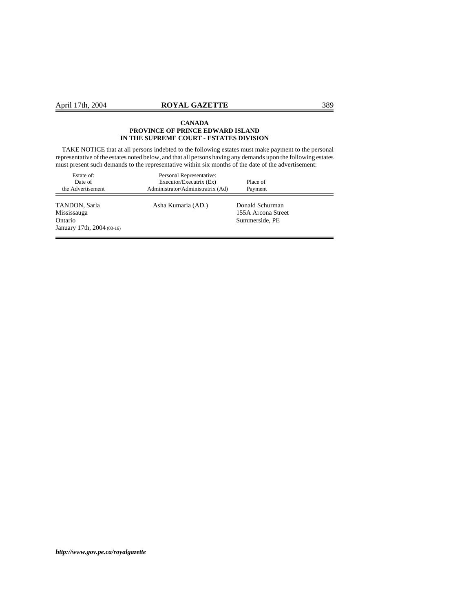TAKE NOTICE that at all persons indebted to the following estates must make payment to the personal representative of the estates noted below, and that all persons having any demands upon the following estates must present such demands to the representative within six months of the date of the advertisement:

| Estate of:<br>Date of<br>the Advertisement                            | Personal Representative:<br>Executor/Executrix (Ex)<br>Administrator/Administratrix (Ad) | Place of<br>Payment                                     |  |
|-----------------------------------------------------------------------|------------------------------------------------------------------------------------------|---------------------------------------------------------|--|
| TANDON, Sarla<br>Mississauga<br>Ontario<br>January 17th, 2004 (03-16) | Asha Kumaria (AD.)                                                                       | Donald Schurman<br>155A Arcona Street<br>Summerside, PE |  |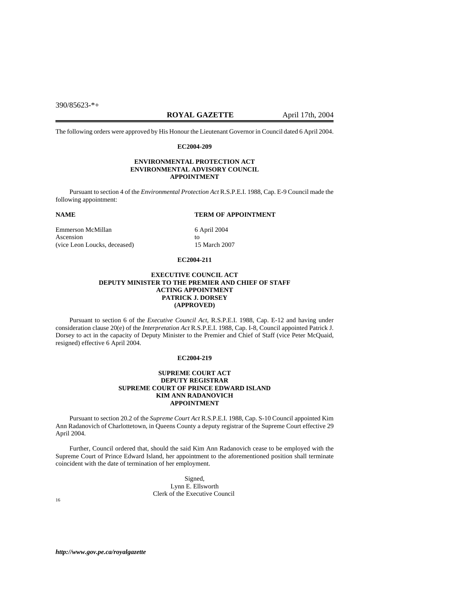390/85623-\*+

# **ROYAL GAZETTE** April 17th, 2004

The following orders were approved by His Honour the Lieutenant Governor in Council dated 6 April 2004.

#### **EC2004-209**

#### **ENVIRONMENTAL PROTECTION ACT ENVIRONMENTAL ADVISORY COUNCIL APPOINTMENT**

Pursuant to section 4 of the *Environmental Protection Act* R.S.P.E.I. 1988, Cap. E-9 Council made the following appointment:

#### **NAME TERM OF APPOINTMENT**

Emmerson McMillan 6 April 2004 Ascension to<br>
(vice Leon Loucks, deceased) (and the set of the 15 March 2007 (vice Leon Loucks, deceased)

### **EC2004-211**

#### **EXECUTIVE COUNCIL ACT DEPUTY MINISTER TO THE PREMIER AND CHIEF OF STAFF ACTING APPOINTMENT PATRICK J. DORSEY (APPROVED)**

Pursuant to section 6 of the *Executive Council Act*, R.S.P.E.I. 1988, Cap. E-12 and having under consideration clause 20(e) of the *Interpretation Act* R.S.P.E.I. 1988, Cap. I-8, Council appointed Patrick J. Dorsey to act in the capacity of Deputy Minister to the Premier and Chief of Staff (vice Peter McQuaid, resigned) effective 6 April 2004.

#### **EC2004-219**

#### **SUPREME COURT ACT DEPUTY REGISTRAR SUPREME COURT OF PRINCE EDWARD ISLAND KIM ANN RADANOVICH APPOINTMENT**

Pursuant to section 20.2 of the *Supreme Court Act* R.S.P.E.I. 1988, Cap. S-10 Council appointed Kim Ann Radanovich of Charlottetown, in Queens County a deputy registrar of the Supreme Court effective 29 April 2004.

Further, Council ordered that, should the said Kim Ann Radanovich cease to be employed with the Supreme Court of Prince Edward Island, her appointment to the aforementioned position shall terminate coincident with the date of termination of her employment.

Signed, Lynn E. Ellsworth Clerk of the Executive Council 16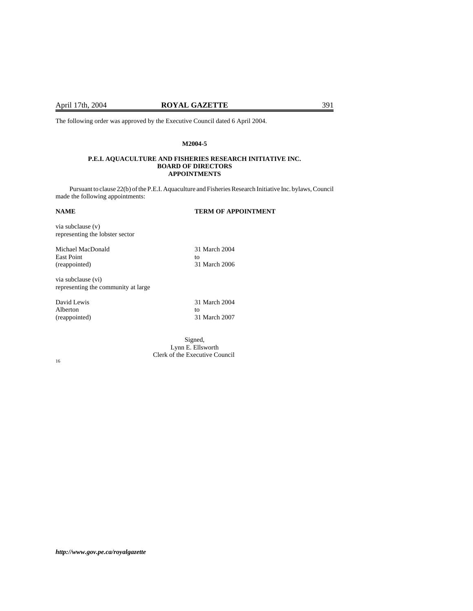The following order was approved by the Executive Council dated 6 April 2004.

#### **M2004-5**

#### **P.E.I. AQUACULTURE AND FISHERIES RESEARCH INITIATIVE INC. BOARD OF DIRECTORS APPOINTMENTS**

Pursuant to clause 22(b) of the P.E.I. Aquaculture and Fisheries Research Initiative Inc. bylaws, Council made the following appointments:

**NAME TERM OF APPOINTMENT** 

via subclause (v) representing the lobster sector Michael MacDonald 31 March 2004 East Point to to the set of the set of the set of the set of the set of the set of the set of the set of the set of the set of the set of the set of the set of the set of the set of the set of the set of the set of the set (reappointed) 31 March 2006 via subclause (vi) representing the community at large

| David Lewis   | 31 March 2004 |
|---------------|---------------|
| Alberton      | TΩ            |
| (reappointed) | 31 March 2007 |

Signed, Lynn E. Ellsworth Clerk of the Executive Council 16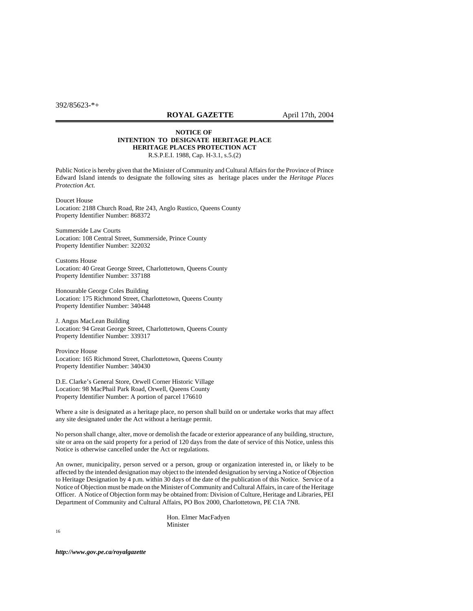**ROYAL GAZETTE** April 17th, 2004

#### **NOTICE OF INTENTION TO DESIGNATE HERITAGE PLACE HERITAGE PLACES PROTECTION ACT** R.S.P.E.I. 1988, Cap. H-3.1, s.5.(2)

Public Notice is hereby given that the Minister of Community and Cultural Affairs for the Province of Prince Edward Island intends to designate the following sites as heritage places under the *Heritage Places Protection Act.*

Doucet House Location: 2188 Church Road, Rte 243, Anglo Rustico, Queens County Property Identifier Number: 868372

Summerside Law Courts Location: 108 Central Street, Summerside, Prince County Property Identifier Number: 322032

Customs House Location: 40 Great George Street, Charlottetown, Queens County Property Identifier Number: 337188

Honourable George Coles Building Location: 175 Richmond Street, Charlottetown, Queens County Property Identifier Number: 340448

J. Angus MacLean Building Location: 94 Great George Street, Charlottetown, Queens County Property Identifier Number: 339317

Province House Location: 165 Richmond Street, Charlottetown, Queens County Property Identifier Number: 340430

D.E. Clarke's General Store, Orwell Corner Historic Village Location: 98 MacPhail Park Road, Orwell, Queens County Property Identifier Number: A portion of parcel 176610

Where a site is designated as a heritage place, no person shall build on or undertake works that may affect any site designated under the Act without a heritage permit.

No person shall change, alter, move or demolish the facade or exterior appearance of any building, structure, site or area on the said property for a period of 120 days from the date of service of this Notice, unless this Notice is otherwise cancelled under the Act or regulations.

An owner, municipality, person served or a person, group or organization interested in, or likely to be affected by the intended designation may object to the intended designation by serving a Notice of Objection to Heritage Designation by 4 p.m. within 30 days of the date of the publication of this Notice. Service of a Notice of Objection must be made on the Minister of Community and Cultural Affairs, in care of the Heritage Officer. A Notice of Objection form may be obtained from: Division of Culture, Heritage and Libraries, PEI Department of Community and Cultural Affairs, PO Box 2000, Charlottetown, PE C1A 7N8.

> Hon. Elmer MacFadyen Minister

16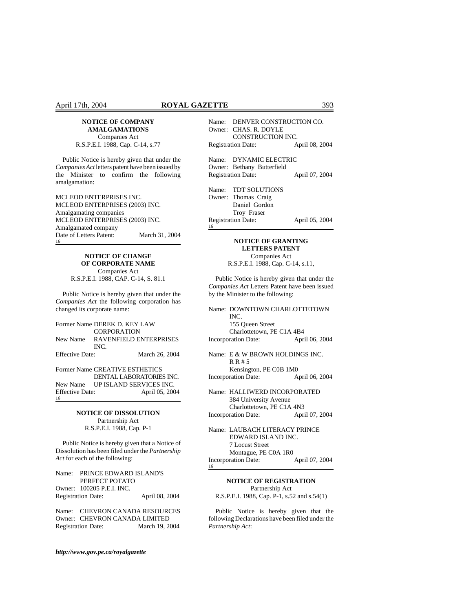Companies Act R.S.P.E.I. 1988, Cap. C-14, s.77

Public Notice is hereby given that under the *Companies Act* letters patent have been issued by the Minister to confirm the following amalgamation:

MCLEOD ENTERPRISES INC. MCLEOD ENTERPRISES (2003) INC. Amalgamating companies MCLEOD ENTERPRISES (2003) INC. Amalgamated company Date of Letters Patent: March 31, 2004 16

# **NOTICE OF CHANGE OF CORPORATE NAME**

Companies Act R.S.P.E.I. 1988, CAP. C-14, S. 81.1

Public Notice is hereby given that under the *Companies Act* the following corporation has changed its corporate name:

Former Name DEREK D. KEY LAW **CORPORATION** New Name RAVENFIELD ENTERPRISES INC. Effective Date: March 26, 2004 Former Name CREATIVE ESTHETICS

DENTAL LABORATORIES INC. New Name UP ISLAND SERVICES INC. Effective Date: April 05, 2004 16

#### **NOTICE OF DISSOLUTION** Partnership Act R.S.P.E.I. 1988, Cap. P-1

Public Notice is hereby given that a Notice of Dissolution has been filed under the *Partnership Act* for each of the following:

Name: PRINCE EDWARD ISLAND'S PERFECT POTATO Owner: 100205 P.E.I. INC. Registration Date: April 08, 2004

Name: CHEVRON CANADA RESOURCES Owner: CHEVRON CANADA LIMITED<br>Registration Date: March 19, 2004 Registration Date:

*http://www.gov.pe.ca/royalgazette*

|                           | Name: DENVER CONSTRUCTION CO.<br>Owner: CHAS. R. DOYLE<br>CONSTRUCTION INC.       |                |
|---------------------------|-----------------------------------------------------------------------------------|----------------|
| <b>Registration Date:</b> |                                                                                   | April 08, 2004 |
|                           | Name: DYNAMIC ELECTRIC<br>Owner: Bethany Butterfield<br><b>Registration Date:</b> | April 07, 2004 |
|                           | Name: TDT SOLUTIONS<br>Owner: Thomas Craig<br>Daniel Gordon<br>Troy Fraser        |                |
| 16                        | <b>Registration Date:</b>                                                         | April 05, 2004 |

#### **NOTICE OF GRANTING LETTERS PATENT** Companies Act

R.S.P.E.I. 1988, Cap. C-14, s.11,

Public Notice is hereby given that under the *Companies Act* Letters Patent have been issued by the Minister to the following:

|                            | Name: DOWNTOWN CHARLOTTETOWN                          |                |  |
|----------------------------|-------------------------------------------------------|----------------|--|
|                            | INC.                                                  |                |  |
|                            | 155 Oueen Street                                      |                |  |
|                            | Charlottetown, PE C1A 4B4                             |                |  |
| <b>Incorporation Date:</b> |                                                       | April 06, 2004 |  |
|                            | Name: E & W BROWN HOLDINGS INC.<br>R R # 5            |                |  |
|                            | Kensington, PE C0B 1M0                                |                |  |
|                            | <b>Incorporation Date:</b>                            | April 06, 2004 |  |
|                            | Name: HALLIWERD INCORPORATED<br>384 University Avenue |                |  |
|                            | Charlottetown, PE C1A 4N3                             |                |  |
|                            | <b>Incorporation Date:</b>                            | April 07, 2004 |  |
|                            |                                                       |                |  |

Name: LAUBACH LITERACY PRINCE EDWARD ISLAND INC. 7 Locust Street Montague, PE C0A 1R0 Incorporation Date: April 07, 2004 16

**NOTICE OF REGISTRATION** Partnership Act R.S.P.E.I. 1988, Cap. P-1, s.52 and s.54(1)

Public Notice is hereby given that the following Declarations have been filed under the *Partnership Act*: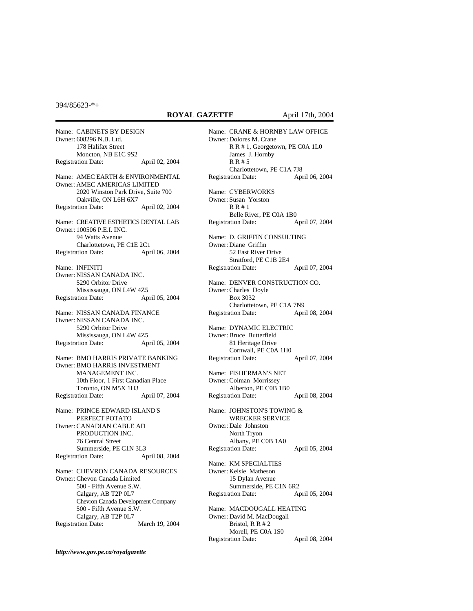394/85623-\*+

#### **ROYAL GAZETTE** April 17th, 2004

Name: CABINETS BY DESIGN Owner: 608296 N.B. Ltd. 178 Halifax Street Moncton, NB E1C 9S2 Registration Date: April 02, 2004 Name: AMEC EARTH & ENVIRONMENTAL Owner: AMEC AMERICAS LIMITED 2020 Winston Park Drive, Suite 700 Oakville, ON L6H 6X7 Registration Date: April 02, 2004 Name: CREATIVE ESTHETICS DENTAL LAB Owner: 100506 P.E.I. INC. 94 Watts Avenue Charlottetown, PE C1E 2C1 Registration Date: April 06, 2004 Name: INFINITI Owner: NISSAN CANADA INC. 5290 Orbitor Drive Mississauga, ON L4W 4Z5 Registration Date: April 05, 2004 Name: NISSAN CANADA FINANCE Owner: NISSAN CANADA INC. 5290 Orbitor Drive Mississauga, ON L4W 4Z5 Registration Date: April 05, 2004 Name: BMO HARRIS PRIVATE BANKING Owner: BMO HARRIS INVESTMENT MANAGEMENT INC. 10th Floor, 1 First Canadian Place Toronto, ON M5X 1H3 Registration Date: April 07, 2004 Name: PRINCE EDWARD ISLAND'S PERFECT POTATO Owner: CANADIAN CABLE AD PRODUCTION INC. 76 Central Street Summerside, PE C1N 3L3 Registration Date: April 08, 2004 Name: CHEVRON CANADA RESOURCES Owner: Chevon Canada Limited 500 - Fifth Avenue S.W. Calgary, AB T2P 0L7 Chevron Canada Development Company 500 - Fifth Avenue S.W. Calgary, AB T2P 0L7 Registration Date: March 19, 2004

Name: CRANE & HORNBY LAW OFFICE Owner: Dolores M. Crane R R # 1, Georgetown, PE C0A 1L0 James J. Hornby R R # 5 Charlottetown, PE C1A 7J8 Registration Date: April 06, 2004 Name: CYBERWORKS Owner: Susan Yorston R R # 1 Belle River, PE C0A 1B0 Registration Date: April 07, 2004 Name: D. GRIFFIN CONSULTING Owner: Diane Griffin 52 East River Drive Stratford, PE C1B 2E4 Registration Date: April 07, 2004 Name: DENVER CONSTRUCTION CO. Owner: Charles Doyle Box 3032 Charlottetown, PE C1A 7N9 Registration Date: April 08, 2004 Name: DYNAMIC ELECTRIC Owner: Bruce Butterfield 81 Heritage Drive Cornwall, PE C0A 1H0 Registration Date: April 07, 2004 Name: FISHERMAN'S NET Owner: Colman Morrissey Alberton, PE C0B 1B0 Registration Date: April 08, 2004 Name: JOHNSTON'S TOWING & WRECKER SERVICE Owner: Dale Johnston North Tryon Albany, PE C0B 1A0 Registration Date: April 05, 2004 Name: KM SPECIALTIES Owner: Kelsie Matheson 15 Dylan Avenue Summerside, PE C1N 6R2 Registration Date: April 05, 2004 Name: MACDOUGALL HEATING Owner: David M. MacDougall Bristol, R R # 2 Morell, PE C0A 1S0 Registration Date: April 08, 2004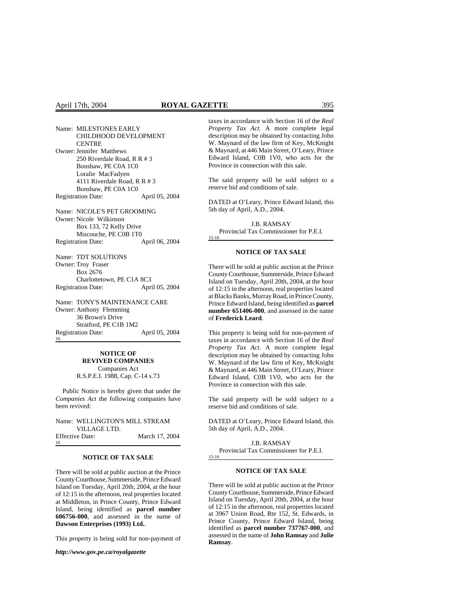| Name: MILESTONES EARLY       |                |
|------------------------------|----------------|
| <b>CHILDHOOD DEVELOPMENT</b> |                |
| CENTRE                       |                |
| Owner: Jennifer Matthews     |                |
| 250 Riverdale Road, R R # 3  |                |
| Bonshaw, PE C0A 1C0          |                |
| Loralie MacFadyen            |                |
| 4111 Riverdale Road, R R # 3 |                |
| Bonshaw, PE C0A 1C0          |                |
| <b>Registration Date:</b>    | April 05, 2004 |
| Name: NICOLE'S PET GROOMING  |                |
| Owner: Nicole Wilkinson      |                |
| Box 133, 72 Kelly Drive      |                |
| Miscouche, PE C0B 1T0        |                |
| <b>Registration Date:</b>    | April 06, 2004 |
| Name: TDT SOLUTIONS          |                |
| Owner: Troy Fraser           |                |
| Box 2676                     |                |
| Charlottetown, PE C1A 8C3    |                |
| <b>Registration Date:</b>    | April 05, 2004 |

Name: TONY'S MAINTENANCE CARE Owner: Anthony Flemming 36 Brown's Drive Stratford, PE C1B 1M2 Registration Date: April 05, 2004 16

# **NOTICE OF REVIVED COMPANIES**

Companies Act R.S.P.E.I. 1988, Cap. C-14 s.73

Public Notice is hereby given that under the *Companies Act* the following companies have been revived:

Name: WELLINGTON'S MILL STREAM VILLAGE LTD. Effective Date: March 17, 2004 16

### **NOTICE OF TAX SALE**

There will be sold at public auction at the Prince County Courthouse, Summerside, Prince Edward Island on Tuesday, April 20th, 2004, at the hour of 12:15 in the afternoon, real properties located at Middleton, in Prince County, Prince Edward Island, being identified as **parcel number 606756-000**, and assessed in the name of **Dawson Enterprises (1993) Ltd.**.

This property is being sold for non-payment of

*http://www.gov.pe.ca/royalgazette*

taxes in accordance with Section 16 of the *Real Property Tax Act*. A more complete legal description may be obtained by contacting John W. Maynard of the law firm of Key, McKnight & Maynard, at 446 Main Street, O'Leary, Prince Edward Island, C0B 1V0, who acts for the Province in connection with this sale.

The said property will be sold subject to a reserve bid and conditions of sale.

DATED at O'Leary, Prince Edward Island, this 5th day of April, A.D., 2004.

J.B. RAMSAY Provincial Tax Commissioner for P.E.I. 15-16

#### **NOTICE OF TAX SALE**

There will be sold at public auction at the Prince County Courthouse, Summerside, Prince Edward Island on Tuesday, April 20th, 2004, at the hour of 12:15 in the afternoon, real properties located at Blacks Banks, Murray Road, in Prince County, Prince Edward Island, being identified as **parcel number 651406-000**, and assessed in the name of **Frederick Leard**.

This property is being sold for non-payment of taxes in accordance with Section 16 of the *Real Property Tax Act*. A more complete legal description may be obtained by contacting John W. Maynard of the law firm of Key, McKnight & Maynard, at 446 Main Street, O'Leary, Prince Edward Island, C0B 1V0, who acts for the Province in connection with this sale.

The said property will be sold subject to a reserve bid and conditions of sale.

DATED at O'Leary, Prince Edward Island, this 5th day of April, A.D., 2004.

J.B. RAMSAY Provincial Tax Commissioner for P.E.I. 15-16

#### **NOTICE OF TAX SALE**

There will be sold at public auction at the Prince County Courthouse, Summerside, Prince Edward Island on Tuesday, April 20th, 2004, at the hour of 12:15 in the afternoon, real properties located at 3967 Union Road, Rte 152, St. Edwards, in Prince County, Prince Edward Island, being identified as **parcel number 737767-000**, and assessed in the name of **John Ramsay** and **Julie Ramsay**.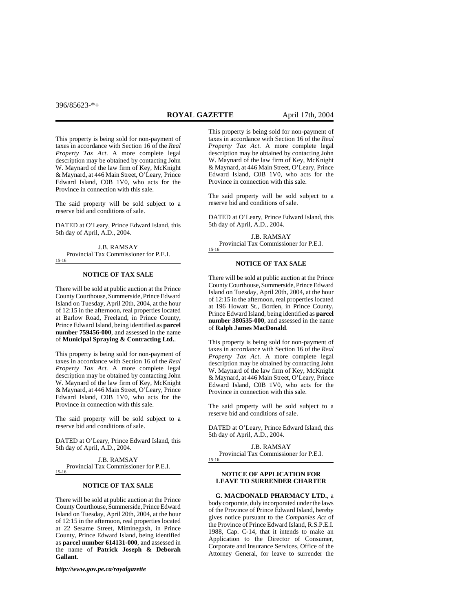This property is being sold for non-payment of taxes in accordance with Section 16 of the *Real Property Tax Act*. A more complete legal description may be obtained by contacting John W. Maynard of the law firm of Key, McKnight & Maynard, at 446 Main Street, O'Leary, Prince Edward Island, C0B 1V0, who acts for the Province in connection with this sale.

The said property will be sold subject to a reserve bid and conditions of sale.

DATED at O'Leary, Prince Edward Island, this 5th day of April, A.D., 2004.

J.B. RAMSAY Provincial Tax Commissioner for P.E.I. 15-16

#### **NOTICE OF TAX SALE**

There will be sold at public auction at the Prince County Courthouse, Summerside, Prince Edward Island on Tuesday, April 20th, 2004, at the hour of 12:15 in the afternoon, real properties located at Barlow Road, Freeland, in Prince County, Prince Edward Island, being identified as **parcel number 759456-000**, and assessed in the name of **Municipal Spraying & Contracting Ltd.**.

This property is being sold for non-payment of taxes in accordance with Section 16 of the *Real Property Tax Act*. A more complete legal description may be obtained by contacting John W. Maynard of the law firm of Key, McKnight & Maynard, at 446 Main Street, O'Leary, Prince Edward Island, C0B 1V0, who acts for the Province in connection with this sale.

The said property will be sold subject to a reserve bid and conditions of sale.

DATED at O'Leary, Prince Edward Island, this 5th day of April, A.D., 2004.

J.B. RAMSAY Provincial Tax Commissioner for P.E.I.

### **NOTICE OF TAX SALE**

There will be sold at public auction at the Prince County Courthouse, Summerside, Prince Edward Island on Tuesday, April 20th, 2004, at the hour of 12:15 in the afternoon, real properties located at 22 Sesame Street, Miminegash, in Prince County, Prince Edward Island, being identified as **parcel number 614131-000**, and assessed in the name of **Patrick Joseph & Deborah Gallant**.

*http://www.gov.pe.ca/royalgazette*

This property is being sold for non-payment of taxes in accordance with Section 16 of the *Real Property Tax Act*. A more complete legal description may be obtained by contacting John W. Maynard of the law firm of Key, McKnight & Maynard, at 446 Main Street, O'Leary, Prince Edward Island, C0B 1V0, who acts for the Province in connection with this sale.

The said property will be sold subject to a reserve bid and conditions of sale.

DATED at O'Leary, Prince Edward Island, this 5th day of April, A.D., 2004.

J.B. RAMSAY Provincial Tax Commissioner for P.E.I. 15-16

#### **NOTICE OF TAX SALE**

There will be sold at public auction at the Prince County Courthouse, Summerside, Prince Edward Island on Tuesday, April 20th, 2004, at the hour of 12:15 in the afternoon, real properties located at 196 Howatt St., Borden, in Prince County, Prince Edward Island, being identified as **parcel number 380535-000**, and assessed in the name of **Ralph James MacDonald**.

This property is being sold for non-payment of taxes in accordance with Section 16 of the *Real Property Tax Act*. A more complete legal description may be obtained by contacting John W. Maynard of the law firm of Key, McKnight & Maynard, at 446 Main Street, O'Leary, Prince Edward Island, C0B 1V0, who acts for the Province in connection with this sale.

The said property will be sold subject to a reserve bid and conditions of sale.

DATED at O'Leary, Prince Edward Island, this 5th day of April, A.D., 2004.

J.B. RAMSAY Provincial Tax Commissioner for P.E.I. 15-16

#### **NOTICE OF APPLICATION FOR LEAVE TO SURRENDER CHARTER**

**G. MACDONALD PHARMACY LTD.**, a body corporate, duly incorporated under the laws of the Province of Prince Edward Island, hereby gives notice pursuant to the *Companies Act* of the Province of Prince Edward Island, R.S.P.E.I. 1988, Cap. C-14, that it intends to make an Application to the Director of Consumer, Corporate and Insurance Services, Office of the Attorney General, for leave to surrender the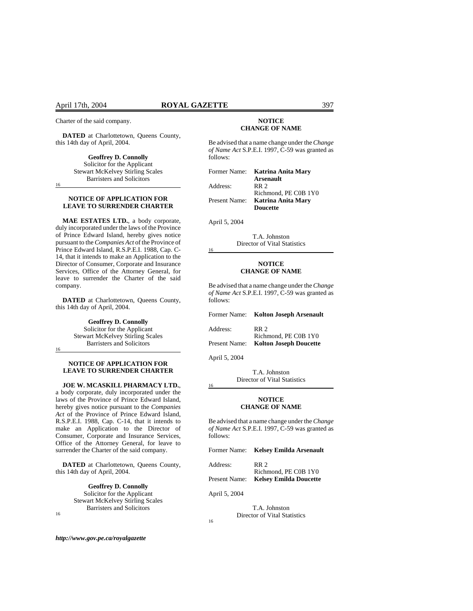Charter of the said company.

**DATED** at Charlottetown, Queens County, this 14th day of April, 2004.

> **Geoffrey D. Connolly** Solicitor for the Applicant Stewart McKelvey Stirling Scales Barristers and Solicitors

16

#### **NOTICE OF APPLICATION FOR LEAVE TO SURRENDER CHARTER**

**MAE ESTATES LTD.**, a body corporate, duly incorporated under the laws of the Province of Prince Edward Island, hereby gives notice pursuant to the *Companies Act* of the Province of Prince Edward Island, R.S.P.E.I. 1988, Cap. C-14, that it intends to make an Application to the Director of Consumer, Corporate and Insurance Services, Office of the Attorney General, for leave to surrender the Charter of the said company.

**DATED** at Charlottetown, Queens County, this 14th day of April, 2004.

> **Geoffrey D. Connolly** Solicitor for the Applicant Stewart McKelvey Stirling Scales Barristers and Solicitors

16

### **NOTICE OF APPLICATION FOR LEAVE TO SURRENDER CHARTER**

**JOE W. MCASKILL PHARMACY LTD.**, a body corporate, duly incorporated under the laws of the Province of Prince Edward Island, hereby gives notice pursuant to the *Companies Act* of the Province of Prince Edward Island, R.S.P.E.I. 1988, Cap. C-14, that it intends to make an Application to the Director of Consumer, Corporate and Insurance Services, Office of the Attorney General, for leave to surrender the Charter of the said company.

**DATED** at Charlottetown, Queens County, this 14th day of April, 2004.

> **Geoffrey D. Connolly** Solicitor for the Applicant Stewart McKelvey Stirling Scales Barristers and Solicitors

16

#### **NOTICE CHANGE OF NAME**

Be advised that a name change under the *Change of Name Act* S.P.E.I. 1997, C-59 was granted as follows:

| Former Name:  | Katrina Anita Mary   |
|---------------|----------------------|
|               | <b>Arsenault</b>     |
| Address:      | <b>RR</b> 2          |
|               | Richmond, PE C0B 1Y0 |
| Present Name: | Katrina Anita Mary   |
|               | <b>Doucette</b>      |

April 5, 2004

16

T.A. Johnston Director of Vital Statistics

#### **NOTICE CHANGE OF NAME**

Be advised that a name change under the *Change of Name Act* S.P.E.I. 1997, C-59 was granted as follows:

|               | Former Name: Kolton Joseph Arsenault                  |
|---------------|-------------------------------------------------------|
| Address:      | RR 2.                                                 |
| Present Name: | Richmond, PE C0B 1Y0<br><b>Kolton Joseph Doucette</b> |

April 5, 2004

16

T.A. Johnston Director of Vital Statistics

#### **NOTICE CHANGE OF NAME**

Be advised that a name change under the *Change of Name Act* S.P.E.I. 1997, C-59 was granted as follows:

| Former Name: Kelsey Emilda Arsenault                         |
|--------------------------------------------------------------|
| RR 2.                                                        |
| Richmond, PE C0B 1Y0<br>Present Name: Kelsey Emilda Doucette |
|                                                              |

April 5, 2004

16

T.A. Johnston Director of Vital Statistics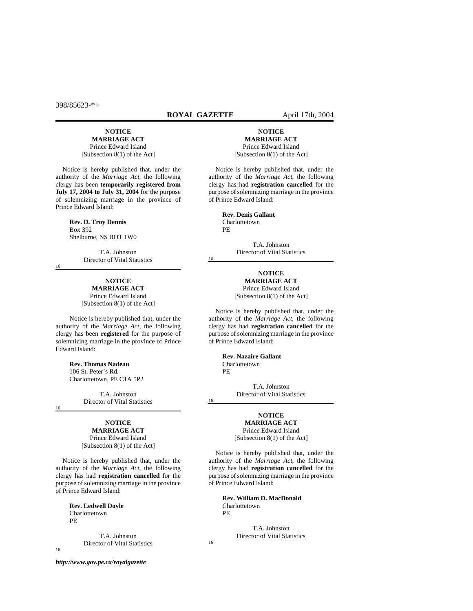#### **ROYAL GAZETTE** April 17th, 2004

16

16

16

# **NOTICE**

**MARRIAGE ACT** Prince Edward Island [Subsection 8(1) of the Act]

Notice is hereby published that, under the authority of the *Marriage Act*, the following clergy has been **temporarily registered from July 17, 2004 to July 31, 2004** for the purpose of solemnizing marriage in the province of Prince Edward Island:

> **Rev. D. Troy Dennis**  Box 392 Shelburne, NS BOT 1W0

16

16

T.A. Johnston Director of Vital Statistics

# **NOTICE**

**MARRIAGE ACT** Prince Edward Island [Subsection 8(1) of the Act]

Notice is hereby published that, under the authority of the *Marriage Act*, the following clergy has been **registered** for the purpose of solemnizing marriage in the province of Prince Edward Island:

> **Rev. Thomas Nadeau** 106 St. Peter's Rd. Charlottetown, PE C1A 5P2

> > T.A. Johnston Director of Vital Statistics

# **NOTICE**

**MARRIAGE ACT** Prince Edward Island [Subsection 8(1) of the Act]

Notice is hereby published that, under the authority of the *Marriage Act*, the following clergy has had **registration cancelled** for the purpose of solemnizing marriage in the province of Prince Edward Island:

> **Rev. Ledwell Doyle Charlottetown** PE

> > T.A. Johnston Director of Vital Statistics

**NOTICE MARRIAGE ACT** Prince Edward Island [Subsection 8(1) of the Act]

Notice is hereby published that, under the authority of the *Marriage Act*, the following clergy has had **registration cancelled** for the purpose of solemnizing marriage in the province of Prince Edward Island:

> **Rev. Denis Gallant**  Charlottetown PE

> > T.A. Johnston Director of Vital Statistics

**NOTICE MARRIAGE ACT** Prince Edward Island [Subsection 8(1) of the Act]

Notice is hereby published that, under the authority of the *Marriage Act*, the following clergy has had **registration cancelled** for the purpose of solemnizing marriage in the province of Prince Edward Island:

> **Rev. Nazaire Gallant** Charlottetown PE

T.A. Johnston Director of Vital Statistics

#### **NOTICE MARRIAGE ACT**

Prince Edward Island [Subsection 8(1) of the Act]

Notice is hereby published that, under the authority of the *Marriage Act*, the following clergy has had **registration cancelled** for the purpose of solemnizing marriage in the province of Prince Edward Island:

> **Rev. William D. MacDonald** Charlottetown PE

> > T.A. Johnston Director of Vital Statistics

16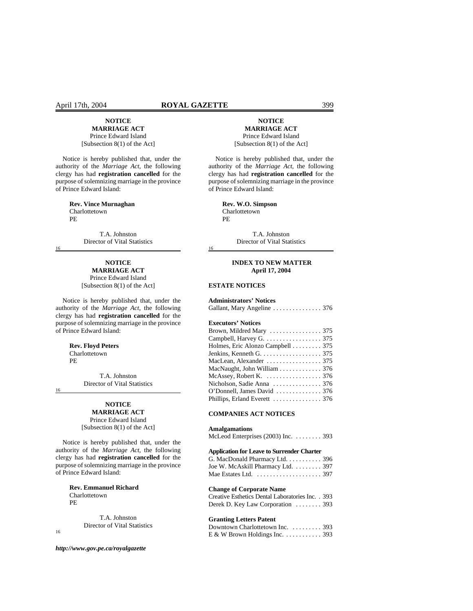#### April 17th, 2004 **ROYAL GAZETTE** 399

# **NOTICE MARRIAGE ACT**

Prince Edward Island [Subsection 8(1) of the Act]

Notice is hereby published that, under the authority of the *Marriage Act*, the following clergy has had **registration cancelled** for the purpose of solemnizing marriage in the province of Prince Edward Island:

> **Rev. Vince Murnaghan**  Charlottetown PE

> > T.A. Johnston Director of Vital Statistics

# **NOTICE**

**MARRIAGE ACT** Prince Edward Island [Subsection 8(1) of the Act]

Notice is hereby published that, under the authority of the *Marriage Act*, the following clergy has had **registration cancelled** for the purpose of solemnizing marriage in the province of Prince Edward Island:

#### **Rev. Floyd Peters**  Charlottetown

PE

T.A. Johnston Director of Vital Statistics

16

16

### **NOTICE MARRIAGE ACT**

Prince Edward Island [Subsection 8(1) of the Act]

Notice is hereby published that, under the authority of the *Marriage Act*, the following clergy has had **registration cancelled** for the purpose of solemnizing marriage in the province of Prince Edward Island:

> **Rev. Emmanuel Richard**  Charlottetown PE

> > T.A. Johnston Director of Vital Statistics

16

*http://www.gov.pe.ca/royalgazette*

#### **NOTICE MARRIAGE ACT** Prince Edward Island [Subsection 8(1) of the Act]

Notice is hereby published that, under the authority of the *Marriage Act*, the following clergy has had **registration cancelled** for the purpose of solemnizing marriage in the province of Prince Edward Island:

> **Rev. W.O. Simpson** Charlottetown PE

> > T.A. Johnston Director of Vital Statistics

#### **INDEX TO NEW MATTER April 17, 2004**

### **ESTATE NOTICES**

16

#### **Administrators' Notices**

| Gallant, Mary Angeline  376 |  |  |  |  |
|-----------------------------|--|--|--|--|
|-----------------------------|--|--|--|--|

# **Executors' Notices**

| Campbell, Harvey G. 375          |  |
|----------------------------------|--|
| Holmes, Eric Alonzo Campbell 375 |  |
| Jenkins, Kenneth G. 375          |  |
|                                  |  |
| MacNaught, John William 376      |  |
| McAssey, Robert K. 376           |  |
|                                  |  |
| O'Donnell, James David  376      |  |
|                                  |  |

# **COMPANIES ACT NOTICES**

#### **Amalgamations**

| McLeod Enterprises $(2003)$ Inc. $\dots\dots$ 393 |  |  |  |
|---------------------------------------------------|--|--|--|
|---------------------------------------------------|--|--|--|

#### **Application for Leave to Surrender Charter**

| G. MacDonald Pharmacy Ltd. 396                        |  |
|-------------------------------------------------------|--|
| Joe W. McAskill Pharmacy Ltd.  397                    |  |
| Mae Estates Ltd. $\dots\dots\dots\dots\dots\dots$ 397 |  |

#### **Change of Corporate Name**

| Creative Esthetics Dental Laboratories Inc. 393 |  |
|-------------------------------------------------|--|
| Derek D. Key Law Corporation  393               |  |

#### **Granting Letters Patent**

| Downtown Charlottetown Inc. 393  |  |
|----------------------------------|--|
| $E \& W$ Brown Holdings Inc. 393 |  |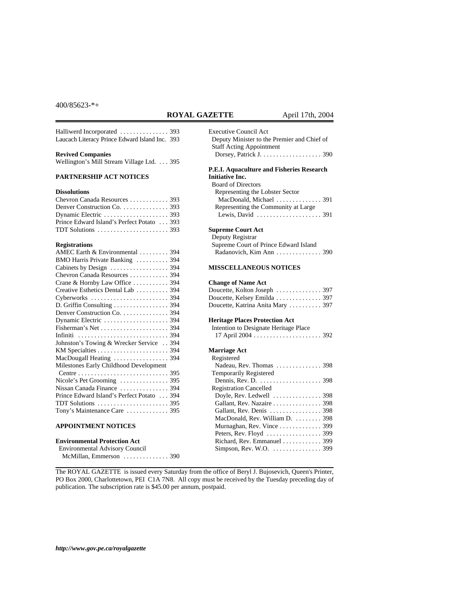# **ROYAL GAZETTE** April 17th, 2004

Executive Council Act

Deputy Minister to the Premier and Chief of

Halliwerd Incorporated . . . . . . . . . . . . . . . 393 Laucach Literacy Prince Edward Island Inc. 393

#### **Revived Companies**

Wellington's Mill Stream Village Ltd. . . . 395

# **PARTNERSHIP ACT NOTICES**

### **Dissolutions**

| Chevron Canada Resources  393                                 |  |
|---------------------------------------------------------------|--|
| Denver Construction Co. 393                                   |  |
|                                                               |  |
| Prince Edward Island's Perfect Potato  393                    |  |
| TDT Solutions $\dots \dots \dots \dots \dots \dots \dots$ 393 |  |

#### **Registrations**

| AMEC Earth & Environmental  394                               |
|---------------------------------------------------------------|
| BMO Harris Private Banking  394                               |
|                                                               |
| Chevron Canada Resources  394                                 |
| Crane & Hornby Law Office  394                                |
| Creative Esthetics Dental Lab  394                            |
|                                                               |
| D. Griffin Consulting 394                                     |
| Denver Construction Co. 394                                   |
|                                                               |
|                                                               |
| Infiniti  394                                                 |
| Johnston's Towing & Wrecker Service  394                      |
|                                                               |
|                                                               |
| Milestones Early Childhood Development                        |
|                                                               |
| Nicole's Pet Grooming $\ldots \ldots \ldots \ldots$ 395       |
| Nissan Canada Finance  394                                    |
| Prince Edward Island's Perfect Potato  394                    |
| TDT Solutions $\ldots \ldots \ldots \ldots \ldots \ldots$ 395 |
| Tony's Maintenance Care  395                                  |

#### **APPOINTMENT NOTICES**

# **Environmental Protection Act**

| <b>Environmental Advisory Council</b> |  |
|---------------------------------------|--|
| McMillan, Emmerson  390               |  |

| <b>Staff Acting Appointment</b>                                                                                                                                                                                                                                                                 |  |
|-------------------------------------------------------------------------------------------------------------------------------------------------------------------------------------------------------------------------------------------------------------------------------------------------|--|
| P.E.I. Aquaculture and Fisheries Research<br><b>Initiative Inc.</b><br><b>Board of Directors</b><br>Representing the Lobster Sector<br>MacDonald, Michael  391<br>Representing the Community at Large                                                                                           |  |
| <b>Supreme Court Act</b><br>Deputy Registrar<br>Supreme Court of Prince Edward Island<br>Radanovich, Kim Ann  390<br><b>MISSCELLANEOUS NOTICES</b>                                                                                                                                              |  |
| <b>Change of Name Act</b><br>Doucette, Kolton Joseph  397<br>Doucette, Kelsey Emilda  397<br>Doucette, Katrina Anita Mary  397<br><b>Heritage Places Protection Act</b>                                                                                                                         |  |
| Intention to Designate Heritage Place                                                                                                                                                                                                                                                           |  |
| <b>Marriage Act</b><br>Registered<br>Nadeau, Rev. Thomas  398<br>Temporarily Registered                                                                                                                                                                                                         |  |
| <b>Registration Cancelled</b><br>Doyle, Rev. Ledwell $\dots\dots\dots\dots$ . 398<br>Gallant, Rev. Nazaire  398<br>Gallant, Rev. Denis  398<br>MacDonald, Rev. William D.  398<br>Murnaghan, Rev. Vince  399<br>Peters, Rev. Floyd  399<br>Richard, Rev. Emmanuel 399<br>Simpson, Rev. W.O. 399 |  |
|                                                                                                                                                                                                                                                                                                 |  |

The ROYAL GAZETTE is issued every Saturday from the office of Beryl J. Bujosevich, Queen's Printer, PO Box 2000, Charlottetown, PEI C1A 7N8. All copy must be received by the Tuesday preceding day of publication. The subscription rate is \$45.00 per annum, postpaid.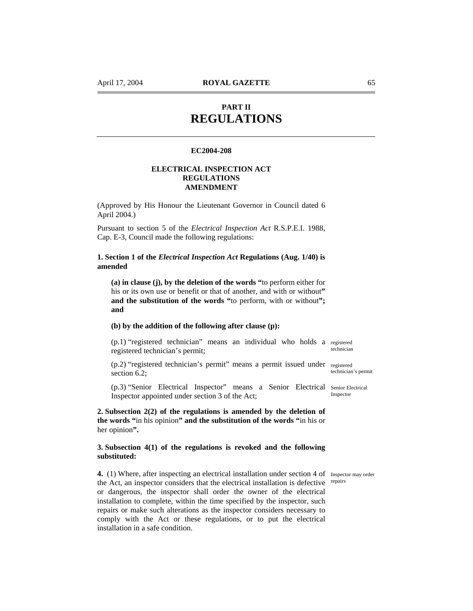# **PART II REGULATIONS**

# **EC2004-208**

# **ELECTRICAL INSPECTION ACT REGULATIONS AMENDMENT**

(Approved by His Honour the Lieutenant Governor in Council dated 6 April 2004.)

Pursuant to section 5 of the *Electrical Inspection Act* R.S.P.E.I. 1988, Cap. E-3, Council made the following regulations:

**1. Section 1 of the** *Electrical Inspection Act* **Regulations (Aug. 1/40) is amended** 

**(a) in clause (j), by the deletion of the words "**to perform either for his or its own use or benefit or that of another, and with or without" **and the substitution of the words "**to perform, with or without**"; and** 

# **(b) by the addition of the following after clause (p):**

(p.1) "registered technician" means an individual who holds a registered registered technician's permit; technician

(p.2) "registered technician's permit" means a permit issued under registered section 6.2; technician's permit

(p.3) "Senior Electrical Inspector" means a Senior Electrical Senior Electrical Inspector appointed under section 3 of the Act; **Inspector** 

**2. Subsection 2(2) of the regulations is amended by the deletion of the words "**in his opinion**" and the substitution of the words "**in his or her opinion**".** 

# **3. Subsection 4(1) of the regulations is revoked and the following substituted:**

4. (1) Where, after inspecting an electrical installation under section 4 of Inspector may order the Act, an inspector considers that the electrical installation is defective repairs or dangerous, the inspector shall order the owner of the electrical installation to complete, within the time specified by the inspector, such repairs or make such alterations as the inspector considers necessary to comply with the Act or these regulations, or to put the electrical installation in a safe condition.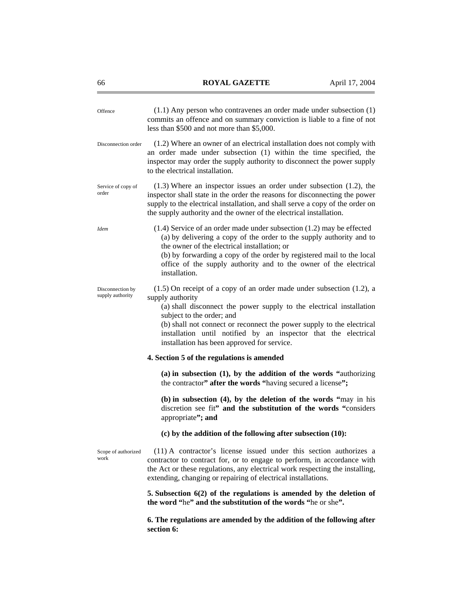| Offence                              | $(1.1)$ Any person who contravenes an order made under subsection $(1)$<br>commits an offence and on summary conviction is liable to a fine of not<br>less than \$500 and not more than \$5,000.                                                                                                                                                                                               |
|--------------------------------------|------------------------------------------------------------------------------------------------------------------------------------------------------------------------------------------------------------------------------------------------------------------------------------------------------------------------------------------------------------------------------------------------|
| Disconnection order                  | (1.2) Where an owner of an electrical installation does not comply with<br>an order made under subsection (1) within the time specified, the<br>inspector may order the supply authority to disconnect the power supply<br>to the electrical installation.                                                                                                                                     |
| Service of copy of<br>order          | $(1.3)$ Where an inspector issues an order under subsection $(1.2)$ , the<br>inspector shall state in the order the reasons for disconnecting the power<br>supply to the electrical installation, and shall serve a copy of the order on<br>the supply authority and the owner of the electrical installation.                                                                                 |
| <b>Idem</b>                          | $(1.4)$ Service of an order made under subsection $(1.2)$ may be effected<br>(a) by delivering a copy of the order to the supply authority and to<br>the owner of the electrical installation; or<br>(b) by forwarding a copy of the order by registered mail to the local<br>office of the supply authority and to the owner of the electrical<br>installation.                               |
| Disconnection by<br>supply authority | $(1.5)$ On receipt of a copy of an order made under subsection $(1.2)$ , a<br>supply authority<br>(a) shall disconnect the power supply to the electrical installation<br>subject to the order; and<br>(b) shall not connect or reconnect the power supply to the electrical<br>installation until notified by an inspector that the electrical<br>installation has been approved for service. |
|                                      | 4. Section 5 of the regulations is amended                                                                                                                                                                                                                                                                                                                                                     |
|                                      | $(a)$ in subsection $(1)$ , by the addition of the words "authorizing<br>the contractor" after the words "having secured a license";                                                                                                                                                                                                                                                           |
|                                      | (b) in subsection (4), by the deletion of the words "may in his<br>discretion see fit" and the substitution of the words "considers"<br>appropriate"; and                                                                                                                                                                                                                                      |
|                                      | (c) by the addition of the following after subsection (10):                                                                                                                                                                                                                                                                                                                                    |
| Scope of authorized<br>work          | (11) A contractor's license issued under this section authorizes a<br>contractor to contract for, or to engage to perform, in accordance with<br>the Act or these regulations, any electrical work respecting the installing,<br>extending, changing or repairing of electrical installations.                                                                                                 |
|                                      | 5. Subsection $6(2)$ of the regulations is amended by the deletion of<br>the word "he" and the substitution of the words "he or she".                                                                                                                                                                                                                                                          |
|                                      | 6. The regulations are amended by the addition of the following after<br>section 6:                                                                                                                                                                                                                                                                                                            |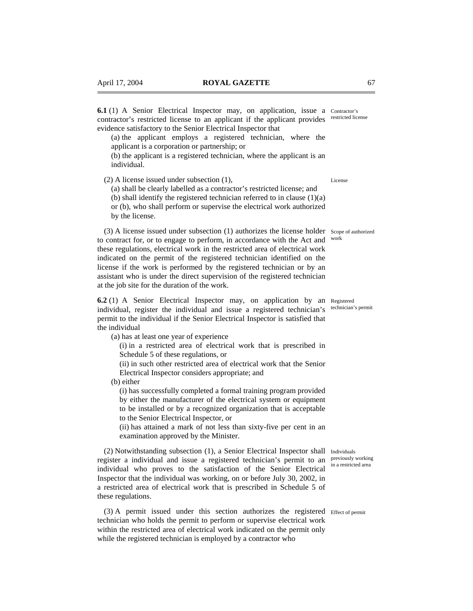**6.1** (1) A Senior Electrical Inspector may, on application, issue a Contractor's contractor's restricted license to an applicant if the applicant provides restricted license evidence satisfactory to the Senior Electrical Inspector that

(a) the applicant employs a registered technician, where the applicant is a corporation or partnership; or

(b) the applicant is a registered technician, where the applicant is an individual.

(2) A license issued under subsection (1),

(a) shall be clearly labelled as a contractor's restricted license; and

(b) shall identify the registered technician referred to in clause  $(1)(a)$ or (b), who shall perform or supervise the electrical work authorized

by the license.

(3) A license issued under subsection (1) authorizes the license holder Scope of authorized to contract for, or to engage to perform, in accordance with the Act and work these regulations, electrical work in the restricted area of electrical work indicated on the permit of the registered technician identified on the license if the work is performed by the registered technician or by an assistant who is under the direct supervision of the registered technician at the job site for the duration of the work.

**6.2** (1) A Senior Electrical Inspector may, on application by an Registered individual, register the individual and issue a registered technician's technician's permit permit to the individual if the Senior Electrical Inspector is satisfied that the individual

(a) has at least one year of experience

(i) in a restricted area of electrical work that is prescribed in Schedule 5 of these regulations, or

(ii) in such other restricted area of electrical work that the Senior Electrical Inspector considers appropriate; and

(b) either

(i) has successfully completed a formal training program provided by either the manufacturer of the electrical system or equipment to be installed or by a recognized organization that is acceptable to the Senior Electrical Inspector, or

(ii) has attained a mark of not less than sixty-five per cent in an examination approved by the Minister.

(2) Notwithstanding subsection (1), a Senior Electrical Inspector shall Individuals register a individual and issue a registered technician's permit to an previously working individual who proves to the satisfaction of the Senior Electrical Inspector that the individual was working, on or before July 30, 2002, in a restricted area of electrical work that is prescribed in Schedule 5 of these regulations.

(3) A permit issued under this section authorizes the registered Effect of permit technician who holds the permit to perform or supervise electrical work within the restricted area of electrical work indicated on the permit only while the registered technician is employed by a contractor who

License

in a restricted area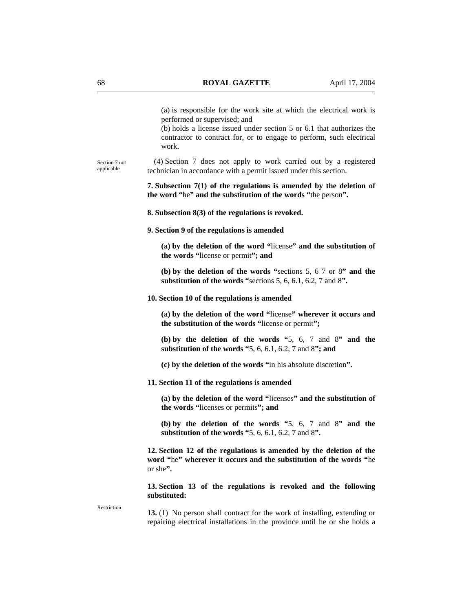(a) is responsible for the work site at which the electrical work is performed or supervised; and

(b) holds a license issued under section 5 or 6.1 that authorizes the contractor to contract for, or to engage to perform, such electrical work.

(4) Section 7 does not apply to work carried out by a registered technician in accordance with a permit issued under this section. Section 7 not applicable

> **7. Subsection 7(1) of the regulations is amended by the deletion of the word "**he**" and the substitution of the words "**the person**".**

**8. Subsection 8(3) of the regulations is revoked.** 

**9. Section 9 of the regulations is amended** 

**(a) by the deletion of the word "**license**" and the substitution of the words "**license or permit**"; and** 

**(b) by the deletion of the words "**sections 5, 6 7 or 8**" and the substitution of the words "**sections 5, 6, 6.1, 6.2, 7 and 8**".** 

#### **10. Section 10 of the regulations is amended**

**(a) by the deletion of the word "**license**" wherever it occurs and the substitution of the words "**license or permit**";** 

**(b) by the deletion of the words "**5, 6, 7 and 8**" and the substitution of the words "**5, 6, 6.1, 6.2, 7 and 8**"; and** 

**(c) by the deletion of the words "**in his absolute discretion**".** 

**11. Section 11 of the regulations is amended** 

**(a) by the deletion of the word "**licenses**" and the substitution of the words "**licenses or permits**"; and** 

**(b) by the deletion of the words "**5, 6, 7 and 8**" and the substitution of the words "**5, 6, 6.1, 6.2, 7 and 8**".** 

**12. Section 12 of the regulations is amended by the deletion of the word "**he**" wherever it occurs and the substitution of the words "**he or she**".** 

**13. Section 13 of the regulations is revoked and the following substituted:** 

Restriction

**13.** (1) No person shall contract for the work of installing, extending or repairing electrical installations in the province until he or she holds a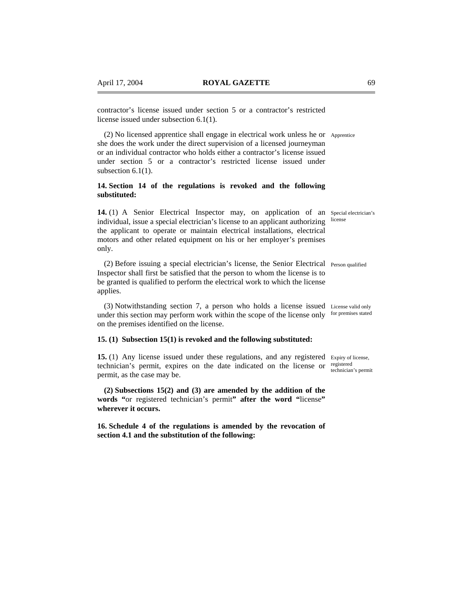contractor's license issued under section 5 or a contractor's restricted license issued under subsection 6.1(1).

(2) No licensed apprentice shall engage in electrical work unless he or Apprentice she does the work under the direct supervision of a licensed journeyman or an individual contractor who holds either a contractor's license issued under section 5 or a contractor's restricted license issued under subsection 6.1(1).

# **14. Section 14 of the regulations is revoked and the following substituted:**

14. (1) A Senior Electrical Inspector may, on application of an Special electrician's individual, issue a special electrician's license to an applicant authorizing license the applicant to operate or maintain electrical installations, electrical motors and other related equipment on his or her employer's premises only.

(2) Before issuing a special electrician's license, the Senior Electrical Person qualified Inspector shall first be satisfied that the person to whom the license is to be granted is qualified to perform the electrical work to which the license applies.

(3) Notwithstanding section 7, a person who holds a license issued License valid only under this section may perform work within the scope of the license only for premises stated on the premises identified on the license.

# **15. (1) Subsection 15(1) is revoked and the following substituted:**

**15.** (1) Any license issued under these regulations, and any registered Expiry of license, technician's permit, expires on the date indicated on the license or registered permit, as the case may be.

**(2) Subsections 15(2) and (3) are amended by the addition of the words "**or registered technician's permit**" after the word "**license**" wherever it occurs.** 

**16. Schedule 4 of the regulations is amended by the revocation of section 4.1 and the substitution of the following:** 

technician's permit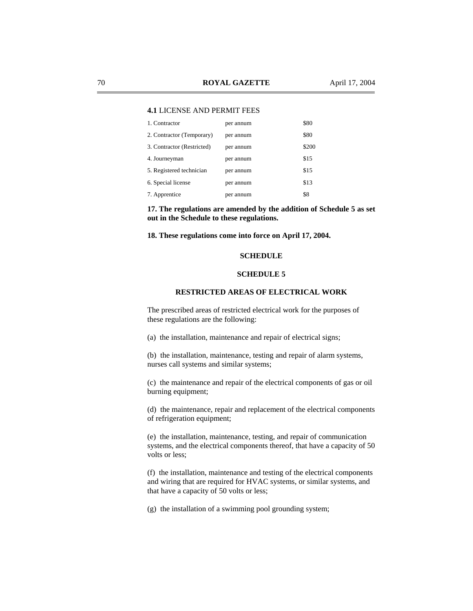# **4.1** LICENSE AND PERMIT FEES

| 1. Contractor              | per annum | \$80  |
|----------------------------|-----------|-------|
| 2. Contractor (Temporary)  | per annum | \$80  |
| 3. Contractor (Restricted) | per annum | \$200 |
| 4. Journeyman              | per annum | \$15  |
| 5. Registered technician   | per annum | \$15  |
| 6. Special license         | per annum | \$13  |
| 7. Apprentice              | per annum | \$8   |

**17. The regulations are amended by the addition of Schedule 5 as set out in the Schedule to these regulations.** 

**18. These regulations come into force on April 17, 2004.** 

# **SCHEDULE**

# **SCHEDULE 5**

# **RESTRICTED AREAS OF ELECTRICAL WORK**

The prescribed areas of restricted electrical work for the purposes of these regulations are the following:

(a) the installation, maintenance and repair of electrical signs;

(b) the installation, maintenance, testing and repair of alarm systems, nurses call systems and similar systems;

(c) the maintenance and repair of the electrical components of gas or oil burning equipment;

(d) the maintenance, repair and replacement of the electrical components of refrigeration equipment;

(e) the installation, maintenance, testing, and repair of communication systems, and the electrical components thereof, that have a capacity of 50 volts or less;

(f) the installation, maintenance and testing of the electrical components and wiring that are required for HVAC systems, or similar systems, and that have a capacity of 50 volts or less;

(g) the installation of a swimming pool grounding system;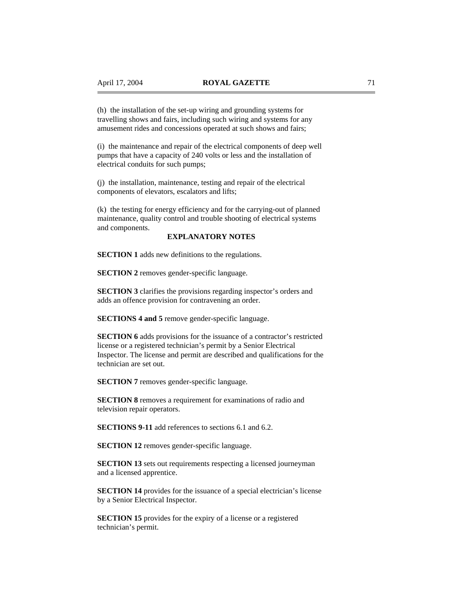(h) the installation of the set-up wiring and grounding systems for travelling shows and fairs, including such wiring and systems for any amusement rides and concessions operated at such shows and fairs;

(i) the maintenance and repair of the electrical components of deep well pumps that have a capacity of 240 volts or less and the installation of electrical conduits for such pumps;

(j) the installation, maintenance, testing and repair of the electrical components of elevators, escalators and lifts;

(k) the testing for energy efficiency and for the carrying-out of planned maintenance, quality control and trouble shooting of electrical systems and components.

# **EXPLANATORY NOTES**

**SECTION 1** adds new definitions to the regulations.

**SECTION 2** removes gender-specific language.

**SECTION 3** clarifies the provisions regarding inspector's orders and adds an offence provision for contravening an order.

**SECTIONS 4 and 5** remove gender-specific language.

**SECTION 6** adds provisions for the issuance of a contractor's restricted license or a registered technician's permit by a Senior Electrical Inspector. The license and permit are described and qualifications for the technician are set out.

**SECTION 7** removes gender-specific language.

**SECTION 8** removes a requirement for examinations of radio and television repair operators.

**SECTIONS 9-11** add references to sections 6.1 and 6.2.

**SECTION 12** removes gender-specific language.

**SECTION 13** sets out requirements respecting a licensed journeyman and a licensed apprentice.

**SECTION 14** provides for the issuance of a special electrician's license by a Senior Electrical Inspector.

**SECTION 15** provides for the expiry of a license or a registered technician's permit.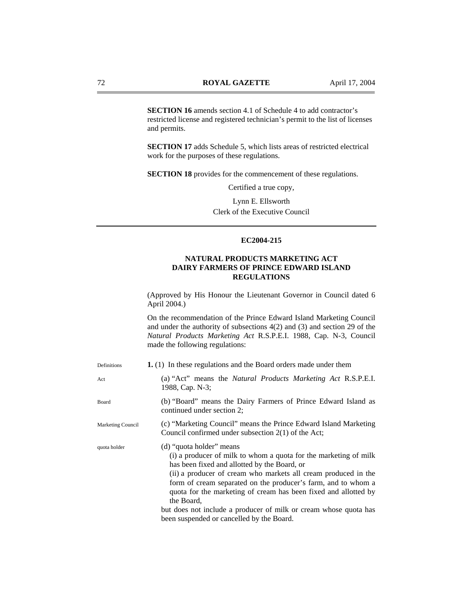**SECTION 16** amends section 4.1 of Schedule 4 to add contractor's restricted license and registered technician's permit to the list of licenses and permits.

**SECTION 17** adds Schedule 5, which lists areas of restricted electrical work for the purposes of these regulations.

**SECTION 18** provides for the commencement of these regulations.

Certified a true copy,

Lynn E. Ellsworth Clerk of the Executive Council

# **EC2004-215**

# **NATURAL PRODUCTS MARKETING ACT DAIRY FARMERS OF PRINCE EDWARD ISLAND REGULATIONS**

(Approved by His Honour the Lieutenant Governor in Council dated 6 April 2004.)

On the recommendation of the Prince Edward Island Marketing Council and under the authority of subsections 4(2) and (3) and section 29 of the *Natural Products Marketing Act* R.S.P.E.I. 1988, Cap. N-3, Council made the following regulations:

| Definitions       | 1. (1) In these regulations and the Board orders made under them                                                                                                                                                                                                                                                                                                                                                                                                                  |
|-------------------|-----------------------------------------------------------------------------------------------------------------------------------------------------------------------------------------------------------------------------------------------------------------------------------------------------------------------------------------------------------------------------------------------------------------------------------------------------------------------------------|
| Act               | (a) "Act" means the <i>Natural Products Marketing Act R.S.P.E.I.</i><br>1988, Cap. N-3;                                                                                                                                                                                                                                                                                                                                                                                           |
| Board             | (b) "Board" means the Dairy Farmers of Prince Edward Island as<br>continued under section 2;                                                                                                                                                                                                                                                                                                                                                                                      |
| Marketing Council | (c) "Marketing Council" means the Prince Edward Island Marketing<br>Council confirmed under subsection $2(1)$ of the Act;                                                                                                                                                                                                                                                                                                                                                         |
| quota holder      | (d) "quota holder" means<br>(i) a producer of milk to whom a quota for the marketing of milk<br>has been fixed and allotted by the Board, or<br>(ii) a producer of cream who markets all cream produced in the<br>form of cream separated on the producer's farm, and to whom a<br>quota for the marketing of cream has been fixed and allotted by<br>the Board,<br>but does not include a producer of milk or cream whose quota has<br>been suspended or cancelled by the Board. |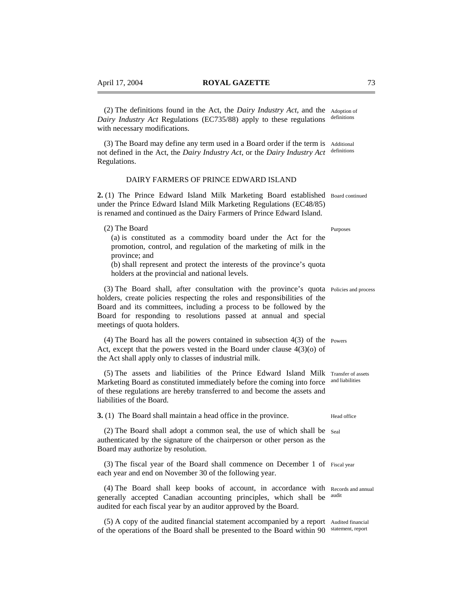(2) The definitions found in the Act, the *Dairy Industry Act*, and the Adoption of *Dairy Industry Act* Regulations (EC735/88) apply to these regulations with necessary modifications.

(3) The Board may define any term used in a Board order if the term is Additional not defined in the Act, the *Dairy Industry Act*, or the *Dairy Industry Act* definitions Regulations.

# DAIRY FARMERS OF PRINCE EDWARD ISLAND

2. (1) The Prince Edward Island Milk Marketing Board established Board continued under the Prince Edward Island Milk Marketing Regulations (EC48/85) is renamed and continued as the Dairy Farmers of Prince Edward Island.

(2) The Board (a) is constituted as a commodity board under the Act for the promotion, control, and regulation of the marketing of milk in the province; and

(b) shall represent and protect the interests of the province's quota holders at the provincial and national levels.

(3) The Board shall, after consultation with the province's quota Policies and process holders, create policies respecting the roles and responsibilities of the Board and its committees, including a process to be followed by the Board for responding to resolutions passed at annual and special meetings of quota holders.

(4) The Board has all the powers contained in subsection 4(3) of the Powers Act, except that the powers vested in the Board under clause  $4(3)(0)$  of the Act shall apply only to classes of industrial milk.

(5) The assets and liabilities of the Prince Edward Island Milk Transfer of assets Marketing Board as constituted immediately before the coming into force and liabilities of these regulations are hereby transferred to and become the assets and liabilities of the Board.

**3.** (1) The Board shall maintain a head office in the province.

(2) The Board shall adopt a common seal, the use of which shall be Seal authenticated by the signature of the chairperson or other person as the Board may authorize by resolution.

(3) The fiscal year of the Board shall commence on December 1 of Fiscal year each year and end on November 30 of the following year.

(4) The Board shall keep books of account, in accordance with Records and annual generally accepted Canadian accounting principles, which shall be audited for each fiscal year by an auditor approved by the Board. audit

(5) A copy of the audited financial statement accompanied by a report Audited financial of the operations of the Board shall be presented to the Board within 90 statement, report

definitions

Purposes

Head office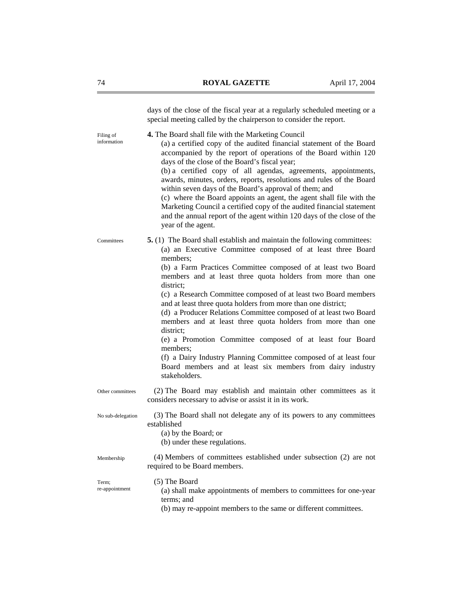|                          | days of the close of the fiscal year at a regularly scheduled meeting or a<br>special meeting called by the chairperson to consider the report.                                                                                                                                                                                                                                                                                                                                                                                                                                                                                                                                                                                                                                                                          |
|--------------------------|--------------------------------------------------------------------------------------------------------------------------------------------------------------------------------------------------------------------------------------------------------------------------------------------------------------------------------------------------------------------------------------------------------------------------------------------------------------------------------------------------------------------------------------------------------------------------------------------------------------------------------------------------------------------------------------------------------------------------------------------------------------------------------------------------------------------------|
| Filing of<br>information | 4. The Board shall file with the Marketing Council<br>(a) a certified copy of the audited financial statement of the Board<br>accompanied by the report of operations of the Board within 120<br>days of the close of the Board's fiscal year;<br>(b) a certified copy of all agendas, agreements, appointments,<br>awards, minutes, orders, reports, resolutions and rules of the Board<br>within seven days of the Board's approval of them; and<br>(c) where the Board appoints an agent, the agent shall file with the<br>Marketing Council a certified copy of the audited financial statement<br>and the annual report of the agent within 120 days of the close of the<br>year of the agent.                                                                                                                      |
| Committees               | <b>5.</b> (1) The Board shall establish and maintain the following committees:<br>(a) an Executive Committee composed of at least three Board<br>members;<br>(b) a Farm Practices Committee composed of at least two Board<br>members and at least three quota holders from more than one<br>district;<br>(c) a Research Committee composed of at least two Board members<br>and at least three quota holders from more than one district;<br>(d) a Producer Relations Committee composed of at least two Board<br>members and at least three quota holders from more than one<br>district:<br>(e) a Promotion Committee composed of at least four Board<br>members:<br>(f) a Dairy Industry Planning Committee composed of at least four<br>Board members and at least six members from dairy industry<br>stakeholders. |
| Other committees         | (2) The Board may establish and maintain other committees as it<br>considers necessary to advise or assist it in its work.                                                                                                                                                                                                                                                                                                                                                                                                                                                                                                                                                                                                                                                                                               |
| No sub-delegation        | (3) The Board shall not delegate any of its powers to any committees<br>established<br>(a) by the Board; or<br>(b) under these regulations.                                                                                                                                                                                                                                                                                                                                                                                                                                                                                                                                                                                                                                                                              |
| Membership               | (4) Members of committees established under subsection (2) are not<br>required to be Board members.                                                                                                                                                                                                                                                                                                                                                                                                                                                                                                                                                                                                                                                                                                                      |
| Term:<br>re-appointment  | (5) The Board<br>(a) shall make appointments of members to committees for one-year<br>terms; and<br>(b) may re-appoint members to the same or different committees.                                                                                                                                                                                                                                                                                                                                                                                                                                                                                                                                                                                                                                                      |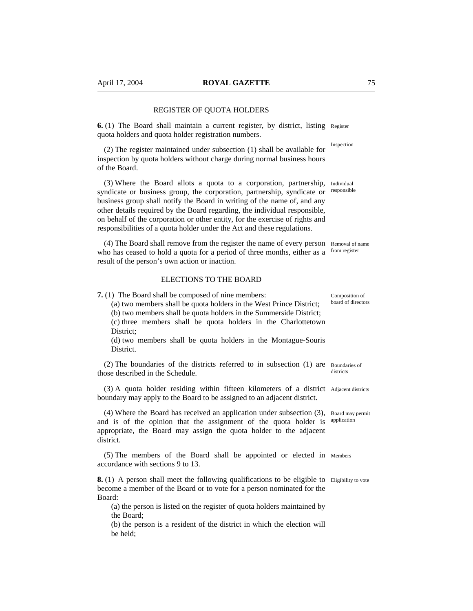# REGISTER OF QUOTA HOLDERS

**6.** (1) The Board shall maintain a current register, by district, listing Register quota holders and quota holder registration numbers.

(2) The register maintained under subsection (1) shall be available for inspection by quota holders without charge during normal business hours of the Board.

(3) Where the Board allots a quota to a corporation, partnership, Individual syndicate or business group, the corporation, partnership, syndicate or business group shall notify the Board in writing of the name of, and any other details required by the Board regarding, the individual responsible, on behalf of the corporation or other entity, for the exercise of rights and responsibilities of a quota holder under the Act and these regulations. responsible

(4) The Board shall remove from the register the name of every person Removal of name who has ceased to hold a quota for a period of three months, either as a from register result of the person's own action or inaction.

# ELECTIONS TO THE BOARD

**7.** (1) The Board shall be composed of nine members:

(a) two members shall be quota holders in the West Prince District;

(b) two members shall be quota holders in the Summerside District; (c) three members shall be quota holders in the Charlottetown District;

(d) two members shall be quota holders in the Montague-Souris District.

(2) The boundaries of the districts referred to in subsection (1) are Boundaries of those described in the Schedule.

(3) A quota holder residing within fifteen kilometers of a district Adjacent districts boundary may apply to the Board to be assigned to an adjacent district.

(4) Where the Board has received an application under subsection (3), Board may permit and is of the opinion that the assignment of the quota holder is application appropriate, the Board may assign the quota holder to the adjacent district.

(5) The members of the Board shall be appointed or elected in Members accordance with sections 9 to 13.

**8.** (1) A person shall meet the following qualifications to be eligible to Eligibility to vote become a member of the Board or to vote for a person nominated for the Board:

(a) the person is listed on the register of quota holders maintained by the Board;

(b) the person is a resident of the district in which the election will be held;

Composition of board of directors

districts

Inspection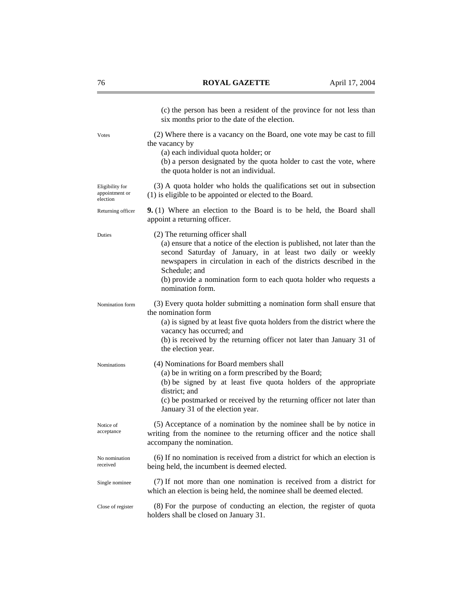|                                               | (c) the person has been a resident of the province for not less than<br>six months prior to the date of the election.                                                                                                                                                                                                                                        |
|-----------------------------------------------|--------------------------------------------------------------------------------------------------------------------------------------------------------------------------------------------------------------------------------------------------------------------------------------------------------------------------------------------------------------|
| Votes                                         | (2) Where there is a vacancy on the Board, one vote may be cast to fill<br>the vacancy by<br>(a) each individual quota holder; or<br>(b) a person designated by the quota holder to cast the vote, where<br>the quota holder is not an individual.                                                                                                           |
| Eligibility for<br>appointment or<br>election | (3) A quota holder who holds the qualifications set out in subsection<br>(1) is eligible to be appointed or elected to the Board.                                                                                                                                                                                                                            |
| Returning officer                             | 9. (1) Where an election to the Board is to be held, the Board shall<br>appoint a returning officer.                                                                                                                                                                                                                                                         |
| Duties                                        | (2) The returning officer shall<br>(a) ensure that a notice of the election is published, not later than the<br>second Saturday of January, in at least two daily or weekly<br>newspapers in circulation in each of the districts described in the<br>Schedule; and<br>(b) provide a nomination form to each quota holder who requests a<br>nomination form. |
| Nomination form                               | (3) Every quota holder submitting a nomination form shall ensure that<br>the nomination form<br>(a) is signed by at least five quota holders from the district where the<br>vacancy has occurred; and<br>(b) is received by the returning officer not later than January 31 of<br>the election year.                                                         |
| Nominations                                   | (4) Nominations for Board members shall<br>(a) be in writing on a form prescribed by the Board;<br>(b) be signed by at least five quota holders of the appropriate<br>district; and<br>(c) be postmarked or received by the returning officer not later than<br>January 31 of the election year.                                                             |
| Notice of<br>acceptance                       | (5) Acceptance of a nomination by the nominee shall be by notice in<br>writing from the nominee to the returning officer and the notice shall<br>accompany the nomination.                                                                                                                                                                                   |
| No nomination<br>received                     | (6) If no nomination is received from a district for which an election is<br>being held, the incumbent is deemed elected.                                                                                                                                                                                                                                    |
| Single nominee                                | (7) If not more than one nomination is received from a district for<br>which an election is being held, the nominee shall be deemed elected.                                                                                                                                                                                                                 |
| Close of register                             | (8) For the purpose of conducting an election, the register of quota<br>holders shall be closed on January 31.                                                                                                                                                                                                                                               |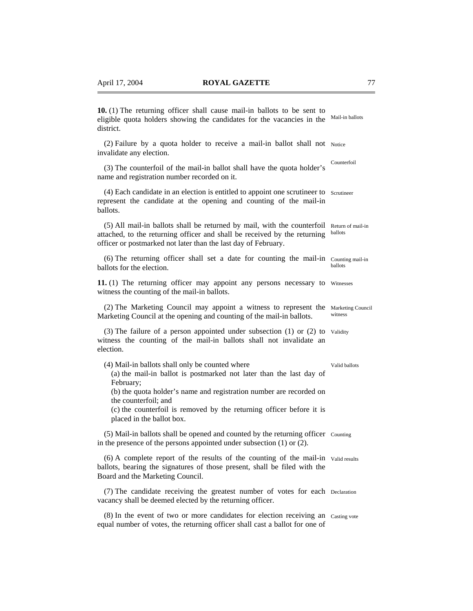| 10. (1) The returning officer shall cause mail-in ballots to be sent to<br>eligible quota holders showing the candidates for the vacancies in the<br>district.                                                                                                                                                                          | Mail-in ballots              |
|-----------------------------------------------------------------------------------------------------------------------------------------------------------------------------------------------------------------------------------------------------------------------------------------------------------------------------------------|------------------------------|
| (2) Failure by a quota holder to receive a mail-in ballot shall not Notice<br>invalidate any election.                                                                                                                                                                                                                                  |                              |
| (3) The counterfoil of the mail-in ballot shall have the quota holder's<br>name and registration number recorded on it.                                                                                                                                                                                                                 | Counterfoil                  |
| (4) Each candidate in an election is entitled to appoint one scrutineer to Scrutineer<br>represent the candidate at the opening and counting of the mail-in<br>ballots.                                                                                                                                                                 |                              |
| (5) All mail-in ballots shall be returned by mail, with the counterfoil<br>attached, to the returning officer and shall be received by the returning<br>officer or postmarked not later than the last day of February.                                                                                                                  | Return of mail-in<br>ballots |
| (6) The returning officer shall set a date for counting the mail-in<br>ballots for the election.                                                                                                                                                                                                                                        | Counting mail-in<br>ballots  |
| 11. (1) The returning officer may appoint any persons necessary to Witnesses<br>witness the counting of the mail-in ballots.                                                                                                                                                                                                            |                              |
| (2) The Marketing Council may appoint a witness to represent the<br>Marketing Council at the opening and counting of the mail-in ballots.                                                                                                                                                                                               | Marketing Council<br>witness |
| $(3)$ The failure of a person appointed under subsection $(1)$ or $(2)$ to<br>witness the counting of the mail-in ballots shall not invalidate an<br>election.                                                                                                                                                                          | Validity                     |
| (4) Mail-in ballots shall only be counted where<br>(a) the mail-in ballot is postmarked not later than the last day of<br>February;<br>(b) the quota holder's name and registration number are recorded on<br>the counterfoil; and<br>(c) the counterfoil is removed by the returning officer before it is<br>placed in the ballot box. | Valid ballots                |
| (5) Mail-in ballots shall be opened and counted by the returning officer Counting<br>in the presence of the persons appointed under subsection $(1)$ or $(2)$ .                                                                                                                                                                         |                              |
| (6) A complete report of the results of the counting of the mail-in Valid results<br>ballots, bearing the signatures of those present, shall be filed with the<br>Board and the Marketing Council.                                                                                                                                      |                              |
| (7) The candidate receiving the greatest number of votes for each Declaration<br>vacancy shall be deemed elected by the returning officer.                                                                                                                                                                                              |                              |
| (8) In the event of two or more candidates for election receiving an Casting vote<br>equal number of votes, the returning officer shall cast a ballot for one of                                                                                                                                                                        |                              |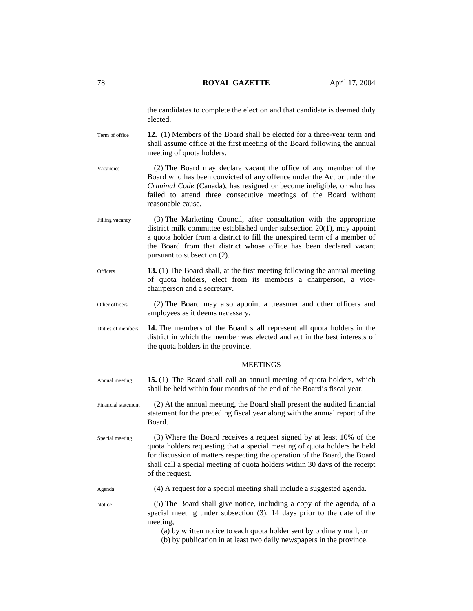the candidates to complete the election and that candidate is deemed duly elected.

- **12.** (1) Members of the Board shall be elected for a three-year term and shall assume office at the first meeting of the Board following the annual meeting of quota holders. Term of office
- (2) The Board may declare vacant the office of any member of the Board who has been convicted of any offence under the Act or under the *Criminal Code* (Canada), has resigned or become ineligible, or who has failed to attend three consecutive meetings of the Board without reasonable cause. Vacancies
- (3) The Marketing Council, after consultation with the appropriate district milk committee established under subsection 20(1), may appoint a quota holder from a district to fill the unexpired term of a member of the Board from that district whose office has been declared vacant pursuant to subsection (2). Filling vacancy
- **13.** (1) The Board shall, at the first meeting following the annual meeting of quota holders, elect from its members a chairperson, a vicechairperson and a secretary. **Officers**
- (2) The Board may also appoint a treasurer and other officers and employees as it deems necessary. Other officers
- **14.** The members of the Board shall represent all quota holders in the district in which the member was elected and act in the best interests of the quota holders in the province. Duties of members

#### **MEETINGS**

- **15.** (1) The Board shall call an annual meeting of quota holders, which shall be held within four months of the end of the Board's fiscal year. Annual meeting
- (2) At the annual meeting, the Board shall present the audited financial statement for the preceding fiscal year along with the annual report of the Board. Financial statement
- (3) Where the Board receives a request signed by at least 10% of the quota holders requesting that a special meeting of quota holders be held for discussion of matters respecting the operation of the Board, the Board shall call a special meeting of quota holders within 30 days of the receipt of the request. Special meeting

(4) A request for a special meeting shall include a suggested agenda. Agenda

Notice

(5) The Board shall give notice, including a copy of the agenda, of a special meeting under subsection (3), 14 days prior to the date of the meeting,

(a) by written notice to each quota holder sent by ordinary mail; or

(b) by publication in at least two daily newspapers in the province.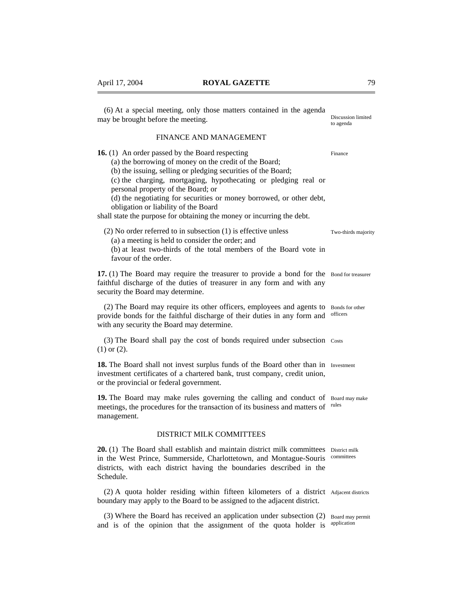may be brought before the meeting.

**16.** (1) An order passed by the Board respecting

personal property of the Board; or

(6) At a special meeting, only those matters contained in the agenda

FINANCE AND MANAGEMENT

(c) the charging, mortgaging, hypothecating or pledging real or

(d) the negotiating for securities or money borrowed, or other debt,

(a) the borrowing of money on the credit of the Board; (b) the issuing, selling or pledging securities of the Board;

| obligation or liability of the Board<br>shall state the purpose for obtaining the money or incurring the debt.                                                                                                                     |                             |
|------------------------------------------------------------------------------------------------------------------------------------------------------------------------------------------------------------------------------------|-----------------------------|
| $(2)$ No order referred to in subsection $(1)$ is effective unless<br>(a) a meeting is held to consider the order; and<br>(b) at least two-thirds of the total members of the Board vote in<br>favour of the order.                | Two-thirds majority         |
| 17. (1) The Board may require the treasurer to provide a bond for the Bond for treasurer<br>faithful discharge of the duties of treasurer in any form and with any<br>security the Board may determine.                            |                             |
| (2) The Board may require its other officers, employees and agents to<br>provide bonds for the faithful discharge of their duties in any form and<br>with any security the Board may determine.                                    | Bonds for other<br>officers |
| (3) The Board shall pay the cost of bonds required under subsection Costs<br>$(1)$ or $(2)$ .                                                                                                                                      |                             |
| 18. The Board shall not invest surplus funds of the Board other than in Investment<br>investment certificates of a chartered bank, trust company, credit union,<br>or the provincial or federal government.                        |                             |
| 19. The Board may make rules governing the calling and conduct of<br>meetings, the procedures for the transaction of its business and matters of<br>management.                                                                    | Board may make<br>rules     |
| <b>DISTRICT MILK COMMITTEES</b>                                                                                                                                                                                                    |                             |
| 20. (1) The Board shall establish and maintain district milk committees<br>in the West Prince, Summerside, Charlottetown, and Montague-Souris<br>districts, with each district having the boundaries described in the<br>Schedule. | District milk<br>committees |
| (2) A quota holder residing within fifteen kilometers of a district Adjacent districts<br>boundary may apply to the Board to be assigned to the adjacent district.                                                                 |                             |

(3) Where the Board has received an application under subsection (2) Board may permit and is of the opinion that the assignment of the quota holder is application

Discussion limited to agenda

Finance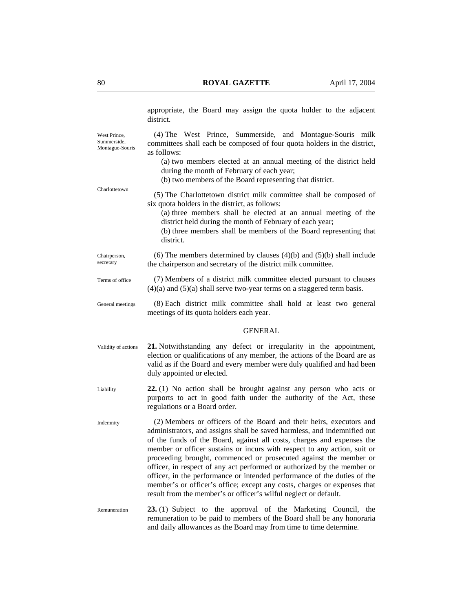appropriate, the Board may assign the quota holder to the adjacent district.

West Prince Summerside, Montague-Souris

Charlottetown

(4) The West Prince, Summerside, and Montague-Souris milk committees shall each be composed of four quota holders in the district, as follows:

- (a) two members elected at an annual meeting of the district held during the month of February of each year;
- (b) two members of the Board representing that district.
- (5) The Charlottetown district milk committee shall be composed of six quota holders in the district, as follows:
	- (a) three members shall be elected at an annual meeting of the district held during the month of February of each year;
	- (b) three members shall be members of the Board representing that district.
- (6) The members determined by clauses  $(4)(b)$  and  $(5)(b)$  shall include the chairperson and secretary of the district milk committee. Chairperson, secretary
- (7) Members of a district milk committee elected pursuant to clauses  $(4)(a)$  and  $(5)(a)$  shall serve two-year terms on a staggered term basis. Terms of office
- (8) Each district milk committee shall hold at least two general meetings of its quota holders each year. General meetings

# **GENERAL**

- **21.** Notwithstanding any defect or irregularity in the appointment, election or qualifications of any member, the actions of the Board are as valid as if the Board and every member were duly qualified and had been duly appointed or elected. Validity of actions
- **22.** (1) No action shall be brought against any person who acts or purports to act in good faith under the authority of the Act, these regulations or a Board order. Liability
- (2) Members or officers of the Board and their heirs, executors and administrators, and assigns shall be saved harmless, and indemnified out of the funds of the Board, against all costs, charges and expenses the member or officer sustains or incurs with respect to any action, suit or proceeding brought, commenced or prosecuted against the member or officer, in respect of any act performed or authorized by the member or officer, in the performance or intended performance of the duties of the member's or officer's office; except any costs, charges or expenses that result from the member's or officer's wilful neglect or default. Indemnity
- **23.** (1) Subject to the approval of the Marketing Council, the remuneration to be paid to members of the Board shall be any honoraria and daily allowances as the Board may from time to time determine. Remuneration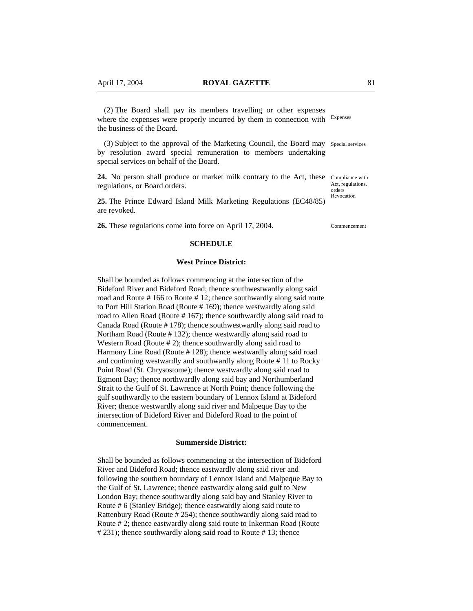(2) The Board shall pay its members travelling or other expenses where the expenses were properly incurred by them in connection with Expenses the business of the Board.

(3) Subject to the approval of the Marketing Council, the Board may Special services by resolution award special remuneration to members undertaking special services on behalf of the Board.

24. No person shall produce or market milk contrary to the Act, these Compliance with regulations, or Board orders.

**25.** The Prince Edward Island Milk Marketing Regulations (EC48/85) are revoked.

**26.** These regulations come into force on April 17, 2004.

### **SCHEDULE**

#### **West Prince District:**

Shall be bounded as follows commencing at the intersection of the Bideford River and Bideford Road; thence southwestwardly along said road and Route # 166 to Route # 12; thence southwardly along said route to Port Hill Station Road (Route # 169); thence westwardly along said road to Allen Road (Route # 167); thence southwardly along said road to Canada Road (Route # 178); thence southwestwardly along said road to Northam Road (Route # 132); thence westwardly along said road to Western Road (Route # 2); thence southwardly along said road to Harmony Line Road (Route # 128); thence westwardly along said road and continuing westwardly and southwardly along Route # 11 to Rocky Point Road (St. Chrysostome); thence westwardly along said road to Egmont Bay; thence northwardly along said bay and Northumberland Strait to the Gulf of St. Lawrence at North Point; thence following the gulf southwardly to the eastern boundary of Lennox Island at Bideford River; thence westwardly along said river and Malpeque Bay to the intersection of Bideford River and Bideford Road to the point of commencement.

# **Summerside District:**

Shall be bounded as follows commencing at the intersection of Bideford River and Bideford Road; thence eastwardly along said river and following the southern boundary of Lennox Island and Malpeque Bay to the Gulf of St. Lawrence; thence eastwardly along said gulf to New London Bay; thence southwardly along said bay and Stanley River to Route # 6 (Stanley Bridge); thence eastwardly along said route to Rattenbury Road (Route # 254); thence southwardly along said road to Route # 2; thence eastwardly along said route to Inkerman Road (Route # 231); thence southwardly along said road to Route # 13; thence

Act, regulations, orders Revocation

Commencement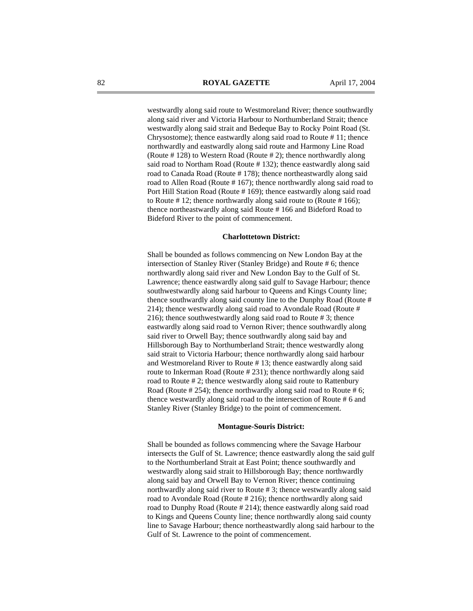westwardly along said route to Westmoreland River; thence southwardly along said river and Victoria Harbour to Northumberland Strait; thence westwardly along said strait and Bedeque Bay to Rocky Point Road (St. Chrysostome); thence eastwardly along said road to Route # 11; thence northwardly and eastwardly along said route and Harmony Line Road (Route # 128) to Western Road (Route # 2); thence northwardly along said road to Northam Road (Route # 132); thence eastwardly along said road to Canada Road (Route # 178); thence northeastwardly along said road to Allen Road (Route # 167); thence northwardly along said road to Port Hill Station Road (Route # 169); thence eastwardly along said road to Route # 12; thence northwardly along said route to (Route # 166); thence northeastwardly along said Route # 166 and Bideford Road to Bideford River to the point of commencement.

# **Charlottetown District:**

Shall be bounded as follows commencing on New London Bay at the intersection of Stanley River (Stanley Bridge) and Route # 6; thence northwardly along said river and New London Bay to the Gulf of St. Lawrence; thence eastwardly along said gulf to Savage Harbour; thence southwestwardly along said harbour to Queens and Kings County line; thence southwardly along said county line to the Dunphy Road (Route # 214); thence westwardly along said road to Avondale Road (Route # 216); thence southwestwardly along said road to Route # 3; thence eastwardly along said road to Vernon River; thence southwardly along said river to Orwell Bay; thence southwardly along said bay and Hillsborough Bay to Northumberland Strait; thence westwardly along said strait to Victoria Harbour; thence northwardly along said harbour and Westmoreland River to Route # 13; thence eastwardly along said route to Inkerman Road (Route # 231); thence northwardly along said road to Route # 2; thence westwardly along said route to Rattenbury Road (Route # 254); thence northwardly along said road to Route # 6; thence westwardly along said road to the intersection of Route # 6 and Stanley River (Stanley Bridge) to the point of commencement.

#### **Montague-Souris District:**

Shall be bounded as follows commencing where the Savage Harbour intersects the Gulf of St. Lawrence; thence eastwardly along the said gulf to the Northumberland Strait at East Point; thence southwardly and westwardly along said strait to Hillsborough Bay; thence northwardly along said bay and Orwell Bay to Vernon River; thence continuing northwardly along said river to Route # 3; thence westwardly along said road to Avondale Road (Route # 216); thence northwardly along said road to Dunphy Road (Route # 214); thence eastwardly along said road to Kings and Queens County line; thence northwardly along said county line to Savage Harbour; thence northeastwardly along said harbour to the Gulf of St. Lawrence to the point of commencement.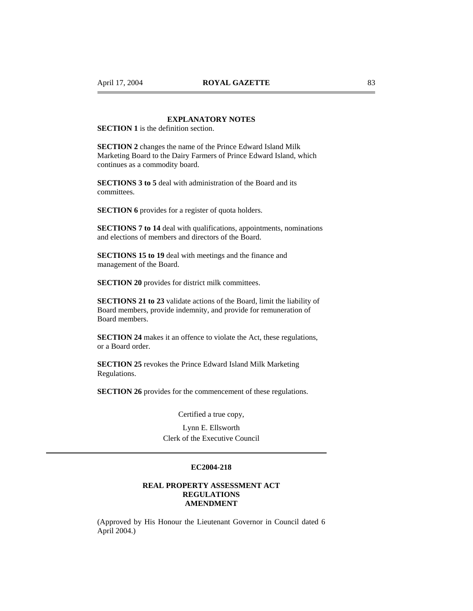# **EXPLANATORY NOTES**

**SECTION 1** is the definition section.

**SECTION 2** changes the name of the Prince Edward Island Milk Marketing Board to the Dairy Farmers of Prince Edward Island, which continues as a commodity board.

**SECTIONS 3 to 5** deal with administration of the Board and its committees.

**SECTION 6** provides for a register of quota holders.

**SECTIONS 7 to 14** deal with qualifications, appointments, nominations and elections of members and directors of the Board.

**SECTIONS 15 to 19** deal with meetings and the finance and management of the Board.

**SECTION 20** provides for district milk committees.

**SECTIONS 21 to 23** validate actions of the Board, limit the liability of Board members, provide indemnity, and provide for remuneration of Board members.

**SECTION 24** makes it an offence to violate the Act, these regulations, or a Board order.

**SECTION 25** revokes the Prince Edward Island Milk Marketing Regulations.

**SECTION 26** provides for the commencement of these regulations.

Certified a true copy,

Lynn E. Ellsworth Clerk of the Executive Council

# **EC2004-218**

# **REAL PROPERTY ASSESSMENT ACT REGULATIONS AMENDMENT**

(Approved by His Honour the Lieutenant Governor in Council dated 6 April 2004.)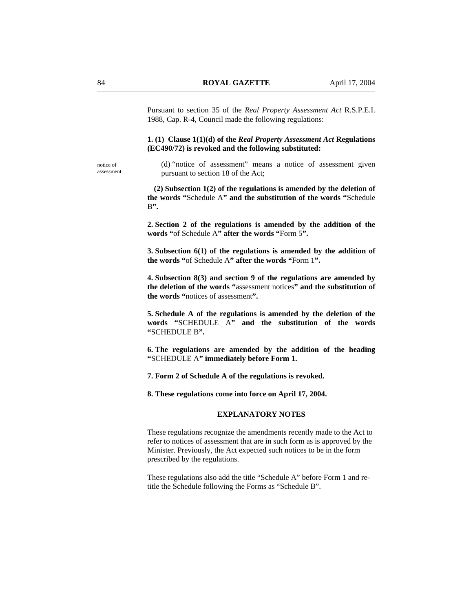Pursuant to section 35 of the *Real Property Assessment Act* R.S.P.E.I. 1988, Cap. R-4, Council made the following regulations:

**1. (1) Clause 1(1)(d) of the** *Real Property Assessment Act* **Regulations (EC490/72) is revoked and the following substituted:** 

notice of assessment (d) "notice of assessment" means a notice of assessment given pursuant to section 18 of the Act;

**(2) Subsection 1(2) of the regulations is amended by the deletion of the words "**Schedule A**" and the substitution of the words "**Schedule B**".** 

**2. Section 2 of the regulations is amended by the addition of the**  words "of Schedule A" after the words "Form 5".

**3. Subsection 6(1) of the regulations is amended by the addition of the words "**of Schedule A**" after the words "**Form 1**".** 

**4. Subsection 8(3) and section 9 of the regulations are amended by the deletion of the words "**assessment notices**" and the substitution of the words "**notices of assessment**".** 

**5. Schedule A of the regulations is amended by the deletion of the words "**SCHEDULE A**" and the substitution of the words "**SCHEDULE B**".** 

**6. The regulations are amended by the addition of the heading "**SCHEDULE A**" immediately before Form 1.** 

**7. Form 2 of Schedule A of the regulations is revoked.** 

**8. These regulations come into force on April 17, 2004.** 

# **EXPLANATORY NOTES**

These regulations recognize the amendments recently made to the Act to refer to notices of assessment that are in such form as is approved by the Minister. Previously, the Act expected such notices to be in the form prescribed by the regulations.

These regulations also add the title "Schedule A" before Form 1 and retitle the Schedule following the Forms as "Schedule B".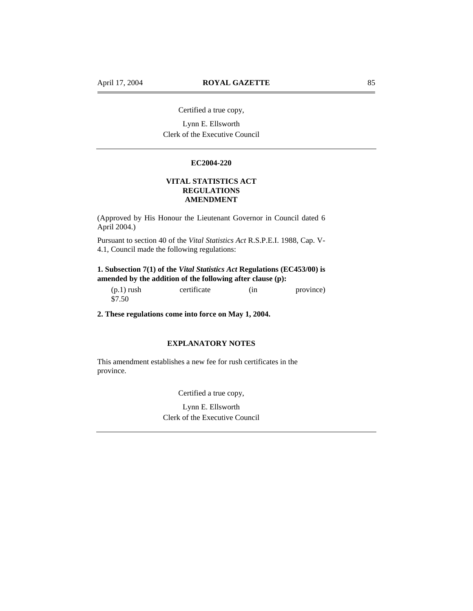Certified a true copy,

Lynn E. Ellsworth Clerk of the Executive Council

### **EC2004-220**

# **VITAL STATISTICS ACT REGULATIONS AMENDMENT**

(Approved by His Honour the Lieutenant Governor in Council dated 6 April 2004.)

Pursuant to section 40 of the *Vital Statistics Act* R.S.P.E.I. 1988, Cap. V-4.1, Council made the following regulations:

# **1. Subsection 7(1) of the** *Vital Statistics Act* **Regulations (EC453/00) is amended by the addition of the following after clause (p):**

(p.1) rush certificate (in province) \$7.50

**2. These regulations come into force on May 1, 2004.** 

# **EXPLANATORY NOTES**

This amendment establishes a new fee for rush certificates in the province.

Certified a true copy,

Lynn E. Ellsworth Clerk of the Executive Council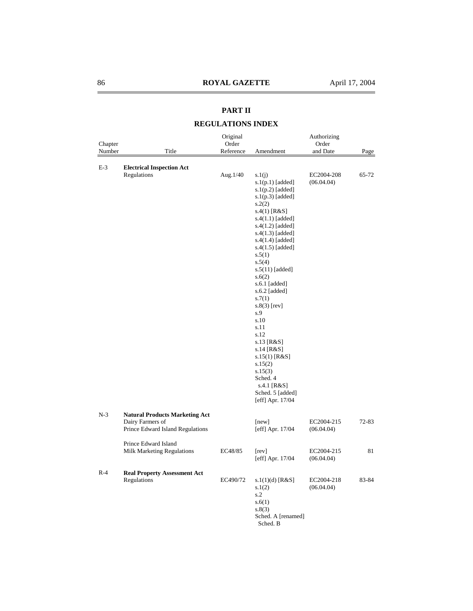# **PART II**

# **REGULATIONS INDEX**

| Chapter<br>Number | Title                                                                                         | Original<br>Order<br>Reference | Amendment                                                                                                                                                                                                                                                                                                                                                                                                                                                                                                        | Authorizing<br>Order<br>and Date | Page      |
|-------------------|-----------------------------------------------------------------------------------------------|--------------------------------|------------------------------------------------------------------------------------------------------------------------------------------------------------------------------------------------------------------------------------------------------------------------------------------------------------------------------------------------------------------------------------------------------------------------------------------------------------------------------------------------------------------|----------------------------------|-----------|
|                   |                                                                                               |                                |                                                                                                                                                                                                                                                                                                                                                                                                                                                                                                                  |                                  |           |
| $E-3$             | <b>Electrical Inspection Act</b><br>Regulations                                               | Aug.1/40                       | s.1(j)<br>$s.1(p.1)$ [added]<br>$s.1(p.2)$ [added]<br>$s.1(p.3)$ [added]<br>s.2(2)<br>$s.4(1)$ [R&S]<br>$s.4(1.1)$ [added]<br>$s.4(1.2)$ [added]<br>$s.4(1.3)$ [added]<br>$s.4(1.4)$ [added]<br>$s.4(1.5)$ [added]<br>s.5(1)<br>s.5(4)<br>s.5(11) [added]<br>s.6(2)<br>s.6.1 [added]<br>s.6.2 [added]<br>s.7(1)<br>$s.8(3)$ [rev]<br>s.9<br>s.10<br>s.11<br>s.12<br>s.13 $[R&S]$<br>s.14 [ $R&S$ ]<br>s.15(1) [ $R&S$ ]<br>s.15(2)<br>s.15(3)<br>Sched. 4<br>s.4.1 [R&S]<br>Sched. 5 [added]<br>[eff] Apr. 17/04 | EC2004-208<br>(06.04.04)         | 65-72     |
| $N-3$             | <b>Natural Products Marketing Act</b><br>Dairy Farmers of<br>Prince Edward Island Regulations |                                | [new]<br>[eff] Apr. 17/04                                                                                                                                                                                                                                                                                                                                                                                                                                                                                        | EC2004-215<br>(06.04.04)         | $72 - 83$ |
|                   | Prince Edward Island<br>Milk Marketing Regulations                                            | EC48/85                        | [rev]<br>[eff] Apr. 17/04                                                                                                                                                                                                                                                                                                                                                                                                                                                                                        | EC2004-215<br>(06.04.04)         | 81        |
| $R-4$             | <b>Real Property Assessment Act</b><br>Regulations                                            | EC490/72                       | $s.1(1)(d)$ [R&S]<br>s.1(2)<br>s.2<br>s.6(1)<br>s.8(3)<br>Sched. A [renamed]<br>Sched. B                                                                                                                                                                                                                                                                                                                                                                                                                         | EC2004-218<br>(06.04.04)         | 83-84     |